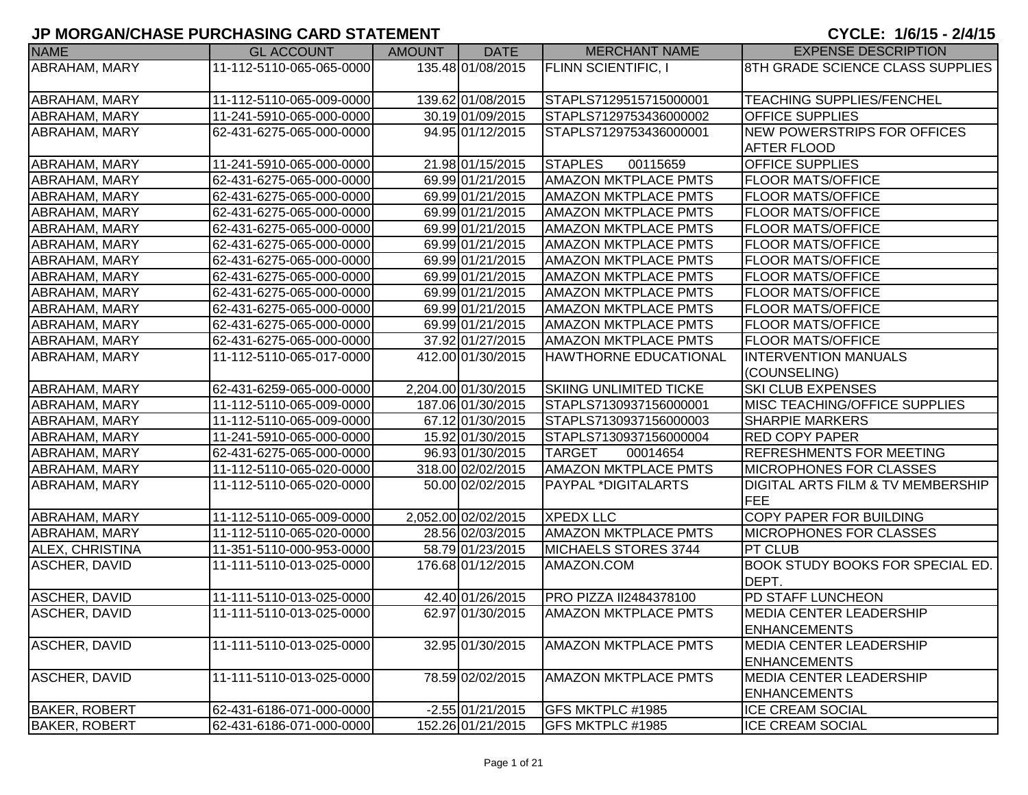| <b>NAME</b>          | <b>GL ACCOUNT</b>        | <b>AMOUNT</b> | <b>DATE</b>         | <b>MERCHANT NAME</b>          | <b>EXPENSE DESCRIPTION</b>                   |
|----------------------|--------------------------|---------------|---------------------|-------------------------------|----------------------------------------------|
| ABRAHAM, MARY        | 11-112-5110-065-065-0000 |               | 135.48 01/08/2015   | <b>FLINN SCIENTIFIC, I</b>    | 8TH GRADE SCIENCE CLASS SUPPLIES             |
|                      |                          |               |                     |                               |                                              |
| <b>ABRAHAM, MARY</b> | 11-112-5110-065-009-0000 |               | 139.62 01/08/2015   | STAPLS7129515715000001        | <b>TEACHING SUPPLIES/FENCHEL</b>             |
| <b>ABRAHAM, MARY</b> | 11-241-5910-065-000-0000 |               | 30.19 01/09/2015    | STAPLS7129753436000002        | <b>OFFICE SUPPLIES</b>                       |
| <b>ABRAHAM, MARY</b> | 62-431-6275-065-000-0000 |               | 94.95 01/12/2015    | STAPLS7129753436000001        | <b>NEW POWERSTRIPS FOR OFFICES</b>           |
|                      |                          |               |                     |                               | <b>AFTER FLOOD</b>                           |
| <b>ABRAHAM, MARY</b> | 11-241-5910-065-000-0000 |               | 21.98 01/15/2015    | <b>STAPLES</b><br>00115659    | <b>OFFICE SUPPLIES</b>                       |
| ABRAHAM, MARY        | 62-431-6275-065-000-0000 |               | 69.99 01/21/2015    | <b>AMAZON MKTPLACE PMTS</b>   | <b>FLOOR MATS/OFFICE</b>                     |
| ABRAHAM, MARY        | 62-431-6275-065-000-0000 |               | 69.99 01/21/2015    | <b>AMAZON MKTPLACE PMTS</b>   | <b>FLOOR MATS/OFFICE</b>                     |
| ABRAHAM, MARY        | 62-431-6275-065-000-0000 |               | 69.99 01/21/2015    | <b>AMAZON MKTPLACE PMTS</b>   | <b>FLOOR MATS/OFFICE</b>                     |
| ABRAHAM, MARY        | 62-431-6275-065-000-0000 |               | 69.99 01/21/2015    | <b>AMAZON MKTPLACE PMTS</b>   | <b>FLOOR MATS/OFFICE</b>                     |
| <b>ABRAHAM, MARY</b> | 62-431-6275-065-000-0000 |               | 69.99 01/21/2015    | <b>AMAZON MKTPLACE PMTS</b>   | <b>FLOOR MATS/OFFICE</b>                     |
| ABRAHAM, MARY        | 62-431-6275-065-000-0000 |               | 69.99 01/21/2015    | <b>AMAZON MKTPLACE PMTS</b>   | <b>FLOOR MATS/OFFICE</b>                     |
| ABRAHAM, MARY        | 62-431-6275-065-000-0000 |               | 69.99 01/21/2015    | <b>AMAZON MKTPLACE PMTS</b>   | <b>FLOOR MATS/OFFICE</b>                     |
| ABRAHAM, MARY        | 62-431-6275-065-000-0000 |               | 69.99 01/21/2015    | <b>AMAZON MKTPLACE PMTS</b>   | <b>FLOOR MATS/OFFICE</b>                     |
| ABRAHAM, MARY        | 62-431-6275-065-000-0000 |               | 69.99 01/21/2015    | <b>AMAZON MKTPLACE PMTS</b>   | <b>FLOOR MATS/OFFICE</b>                     |
| ABRAHAM, MARY        | 62-431-6275-065-000-0000 |               | 69.99 01/21/2015    | <b>AMAZON MKTPLACE PMTS</b>   | <b>FLOOR MATS/OFFICE</b>                     |
| ABRAHAM, MARY        | 62-431-6275-065-000-0000 |               | 37.92 01/27/2015    | <b>AMAZON MKTPLACE PMTS</b>   | <b>FLOOR MATS/OFFICE</b>                     |
| ABRAHAM, MARY        | 11-112-5110-065-017-0000 |               | 412.00 01/30/2015   | <b>HAWTHORNE EDUCATIONAL</b>  | <b>INTERVENTION MANUALS</b>                  |
|                      |                          |               |                     |                               | (COUNSELING)                                 |
| <b>ABRAHAM, MARY</b> | 62-431-6259-065-000-0000 |               | 2,204.00 01/30/2015 | <b>SKIING UNLIMITED TICKE</b> | <b>SKI CLUB EXPENSES</b>                     |
| <b>ABRAHAM, MARY</b> | 11-112-5110-065-009-0000 |               | 187.06 01/30/2015   | STAPLS7130937156000001        | <b>MISC TEACHING/OFFICE SUPPLIES</b>         |
| ABRAHAM, MARY        | 11-112-5110-065-009-0000 |               | 67.12 01/30/2015    | STAPLS7130937156000003        | <b>SHARPIE MARKERS</b>                       |
| <b>ABRAHAM, MARY</b> | 11-241-5910-065-000-0000 |               | 15.92 01/30/2015    | STAPLS7130937156000004        | <b>RED COPY PAPER</b>                        |
| ABRAHAM, MARY        | 62-431-6275-065-000-0000 |               | 96.93 01/30/2015    | <b>TARGET</b><br>00014654     | REFRESHMENTS FOR MEETING                     |
| <b>ABRAHAM, MARY</b> | 11-112-5110-065-020-0000 |               | 318.00 02/02/2015   | <b>AMAZON MKTPLACE PMTS</b>   | <b>MICROPHONES FOR CLASSES</b>               |
| <b>ABRAHAM, MARY</b> | 11-112-5110-065-020-0000 |               | 50.00 02/02/2015    | PAYPAL *DIGITALARTS           | <b>DIGITAL ARTS FILM &amp; TV MEMBERSHIP</b> |
|                      |                          |               |                     |                               | FEE                                          |
| <b>ABRAHAM, MARY</b> | 11-112-5110-065-009-0000 |               | 2,052.00 02/02/2015 | <b>XPEDX LLC</b>              | COPY PAPER FOR BUILDING                      |
| <b>ABRAHAM, MARY</b> | 11-112-5110-065-020-0000 |               | 28.56 02/03/2015    | <b>AMAZON MKTPLACE PMTS</b>   | <b>MICROPHONES FOR CLASSES</b>               |
| ALEX, CHRISTINA      | 11-351-5110-000-953-0000 |               | 58.79 01/23/2015    | MICHAELS STORES 3744          | <b>PT CLUB</b>                               |
| <b>ASCHER, DAVID</b> | 11-111-5110-013-025-0000 |               | 176.68 01/12/2015   | AMAZON.COM                    | <b>BOOK STUDY BOOKS FOR SPECIAL ED.</b>      |
|                      |                          |               |                     |                               | DEPT.                                        |
| <b>ASCHER, DAVID</b> | 11-111-5110-013-025-0000 |               | 42.40 01/26/2015    | <b>PRO PIZZA II2484378100</b> | PD STAFF LUNCHEON                            |
| <b>ASCHER, DAVID</b> | 11-111-5110-013-025-0000 |               | 62.97 01/30/2015    | <b>AMAZON MKTPLACE PMTS</b>   | MEDIA CENTER LEADERSHIP                      |
|                      |                          |               |                     |                               | <b>ENHANCEMENTS</b>                          |
| <b>ASCHER, DAVID</b> | 11-111-5110-013-025-0000 |               | 32.95 01/30/2015    | <b>AMAZON MKTPLACE PMTS</b>   | <b>MEDIA CENTER LEADERSHIP</b>               |
|                      |                          |               |                     |                               | <b>ENHANCEMENTS</b>                          |
| ASCHER, DAVID        | 11-111-5110-013-025-0000 |               | 78.59 02/02/2015    | <b>AMAZON MKTPLACE PMTS</b>   | <b>MEDIA CENTER LEADERSHIP</b>               |
|                      |                          |               |                     |                               | <b>ENHANCEMENTS</b>                          |
| <b>BAKER, ROBERT</b> | 62-431-6186-071-000-0000 |               | $-2.55$ 01/21/2015  | GFS MKTPLC #1985              | <b>ICE CREAM SOCIAL</b>                      |
| <b>BAKER, ROBERT</b> | 62-431-6186-071-000-0000 |               | 152.26 01/21/2015   | GFS MKTPLC #1985              | <b>ICE CREAM SOCIAL</b>                      |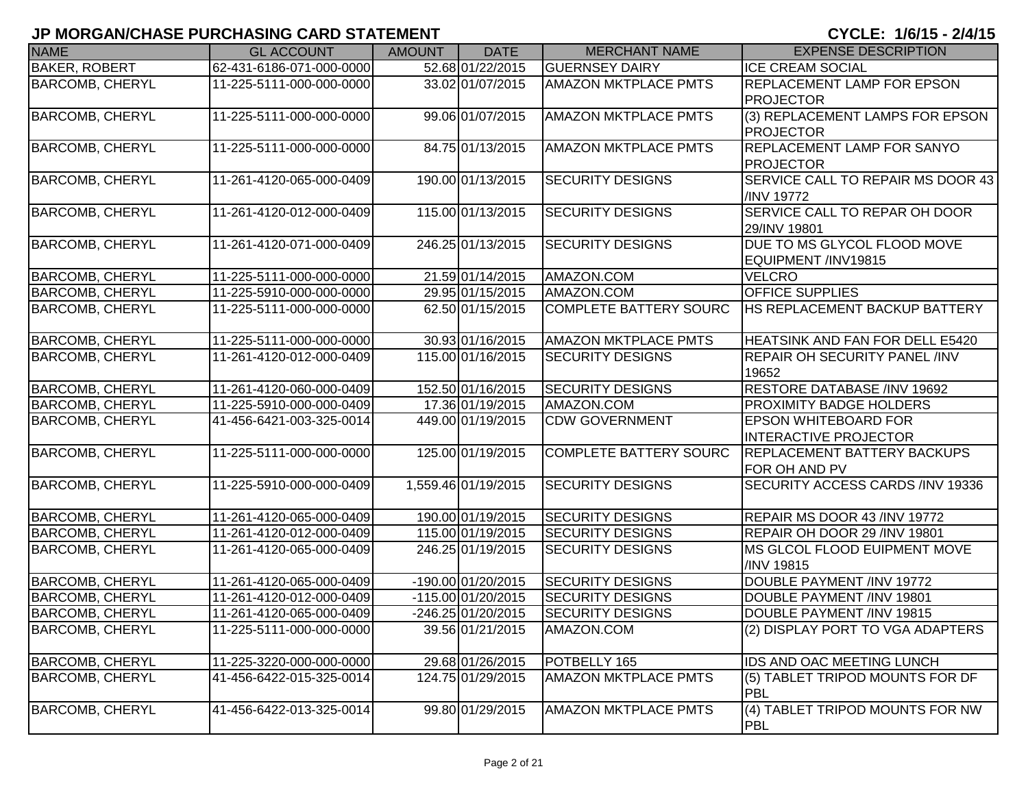| <b>NAME</b>            | <b>GL ACCOUNT</b>        | <b>AMOUNT</b> | <b>DATE</b>         | <b>MERCHANT NAME</b>          | <b>EXPENSE DESCRIPTION</b>                                  |
|------------------------|--------------------------|---------------|---------------------|-------------------------------|-------------------------------------------------------------|
| <b>BAKER, ROBERT</b>   | 62-431-6186-071-000-0000 |               | 52.68 01/22/2015    | <b>GUERNSEY DAIRY</b>         | <b>ICE CREAM SOCIAL</b>                                     |
| <b>BARCOMB, CHERYL</b> | 11-225-5111-000-000-0000 |               | 33.02 01/07/2015    | <b>AMAZON MKTPLACE PMTS</b>   | <b>REPLACEMENT LAMP FOR EPSON</b><br><b>PROJECTOR</b>       |
| <b>BARCOMB, CHERYL</b> | 11-225-5111-000-000-0000 |               | 99.06 01/07/2015    | <b>AMAZON MKTPLACE PMTS</b>   | (3) REPLACEMENT LAMPS FOR EPSON<br><b>PROJECTOR</b>         |
| <b>BARCOMB, CHERYL</b> | 11-225-5111-000-000-0000 |               | 84.75 01/13/2015    | <b>AMAZON MKTPLACE PMTS</b>   | <b>REPLACEMENT LAMP FOR SANYO</b><br><b>PROJECTOR</b>       |
| <b>BARCOMB, CHERYL</b> | 11-261-4120-065-000-0409 |               | 190.00 01/13/2015   | <b>SECURITY DESIGNS</b>       | SERVICE CALL TO REPAIR MS DOOR 43<br>/INV 19772             |
| <b>BARCOMB, CHERYL</b> | 11-261-4120-012-000-0409 |               | 115.00 01/13/2015   | <b>SECURITY DESIGNS</b>       | SERVICE CALL TO REPAR OH DOOR<br>29/INV 19801               |
| <b>BARCOMB, CHERYL</b> | 11-261-4120-071-000-0409 |               | 246.25 01/13/2015   | <b>SECURITY DESIGNS</b>       | DUE TO MS GLYCOL FLOOD MOVE<br>EQUIPMENT /INV19815          |
| <b>BARCOMB, CHERYL</b> | 11-225-5111-000-000-0000 |               | 21.59 01/14/2015    | AMAZON.COM                    | <b>VELCRO</b>                                               |
| <b>BARCOMB, CHERYL</b> | 11-225-5910-000-000-0000 |               | 29.95 01/15/2015    | AMAZON.COM                    | <b>OFFICE SUPPLIES</b>                                      |
| <b>BARCOMB, CHERYL</b> | 11-225-5111-000-000-0000 |               | 62.50 01/15/2015    | <b>COMPLETE BATTERY SOURC</b> | HS REPLACEMENT BACKUP BATTERY                               |
| <b>BARCOMB, CHERYL</b> | 11-225-5111-000-000-0000 |               | 30.93 01/16/2015    | <b>AMAZON MKTPLACE PMTS</b>   | <b>HEATSINK AND FAN FOR DELL E5420</b>                      |
| <b>BARCOMB, CHERYL</b> | 11-261-4120-012-000-0409 |               | 115.00 01/16/2015   | <b>SECURITY DESIGNS</b>       | <b>REPAIR OH SECURITY PANEL /INV</b><br>19652               |
| <b>BARCOMB, CHERYL</b> | 11-261-4120-060-000-0409 |               | 152.50 01/16/2015   | <b>SECURITY DESIGNS</b>       | RESTORE DATABASE /INV 19692                                 |
| <b>BARCOMB, CHERYL</b> | 11-225-5910-000-000-0409 |               | 17.36 01/19/2015    | AMAZON.COM                    | <b>PROXIMITY BADGE HOLDERS</b>                              |
| <b>BARCOMB, CHERYL</b> | 41-456-6421-003-325-0014 |               | 449.00 01/19/2015   | <b>CDW GOVERNMENT</b>         | <b>EPSON WHITEBOARD FOR</b><br><b>INTERACTIVE PROJECTOR</b> |
| <b>BARCOMB, CHERYL</b> | 11-225-5111-000-000-0000 |               | 125.00 01/19/2015   | <b>COMPLETE BATTERY SOURC</b> | <b>REPLACEMENT BATTERY BACKUPS</b><br>FOR OH AND PV         |
| <b>BARCOMB, CHERYL</b> | 11-225-5910-000-000-0409 |               | 1,559.46 01/19/2015 | <b>SECURITY DESIGNS</b>       | SECURITY ACCESS CARDS /INV 19336                            |
| <b>BARCOMB, CHERYL</b> | 11-261-4120-065-000-0409 |               | 190.00 01/19/2015   | <b>SECURITY DESIGNS</b>       | REPAIR MS DOOR 43 /INV 19772                                |
| <b>BARCOMB, CHERYL</b> | 11-261-4120-012-000-0409 |               | 115.00 01/19/2015   | <b>SECURITY DESIGNS</b>       | REPAIR OH DOOR 29 /INV 19801                                |
| <b>BARCOMB, CHERYL</b> | 11-261-4120-065-000-0409 |               | 246.25 01/19/2015   | <b>SECURITY DESIGNS</b>       | <b>IMS GLCOL FLOOD EUIPMENT MOVE</b><br>/INV 19815          |
| <b>BARCOMB, CHERYL</b> | 11-261-4120-065-000-0409 |               | -190.00 01/20/2015  | <b>SECURITY DESIGNS</b>       | DOUBLE PAYMENT /INV 19772                                   |
| <b>BARCOMB, CHERYL</b> | 11-261-4120-012-000-0409 |               | -115.00 01/20/2015  | <b>SECURITY DESIGNS</b>       | DOUBLE PAYMENT /INV 19801                                   |
| <b>BARCOMB, CHERYL</b> | 11-261-4120-065-000-0409 |               | -246.25 01/20/2015  | <b>SECURITY DESIGNS</b>       | DOUBLE PAYMENT /INV 19815                                   |
| <b>BARCOMB, CHERYL</b> | 11-225-5111-000-000-0000 |               | 39.56 01/21/2015    | AMAZON.COM                    | (2) DISPLAY PORT TO VGA ADAPTERS                            |
| <b>BARCOMB, CHERYL</b> | 11-225-3220-000-000-0000 |               | 29.68 01/26/2015    | POTBELLY 165                  | <b>IDS AND OAC MEETING LUNCH</b>                            |
| <b>BARCOMB, CHERYL</b> | 41-456-6422-015-325-0014 |               | 124.75 01/29/2015   | <b>AMAZON MKTPLACE PMTS</b>   | (5) TABLET TRIPOD MOUNTS FOR DF<br>PBL                      |
| <b>BARCOMB, CHERYL</b> | 41-456-6422-013-325-0014 |               | 99.80 01/29/2015    | <b>AMAZON MKTPLACE PMTS</b>   | (4) TABLET TRIPOD MOUNTS FOR NW<br><b>PBL</b>               |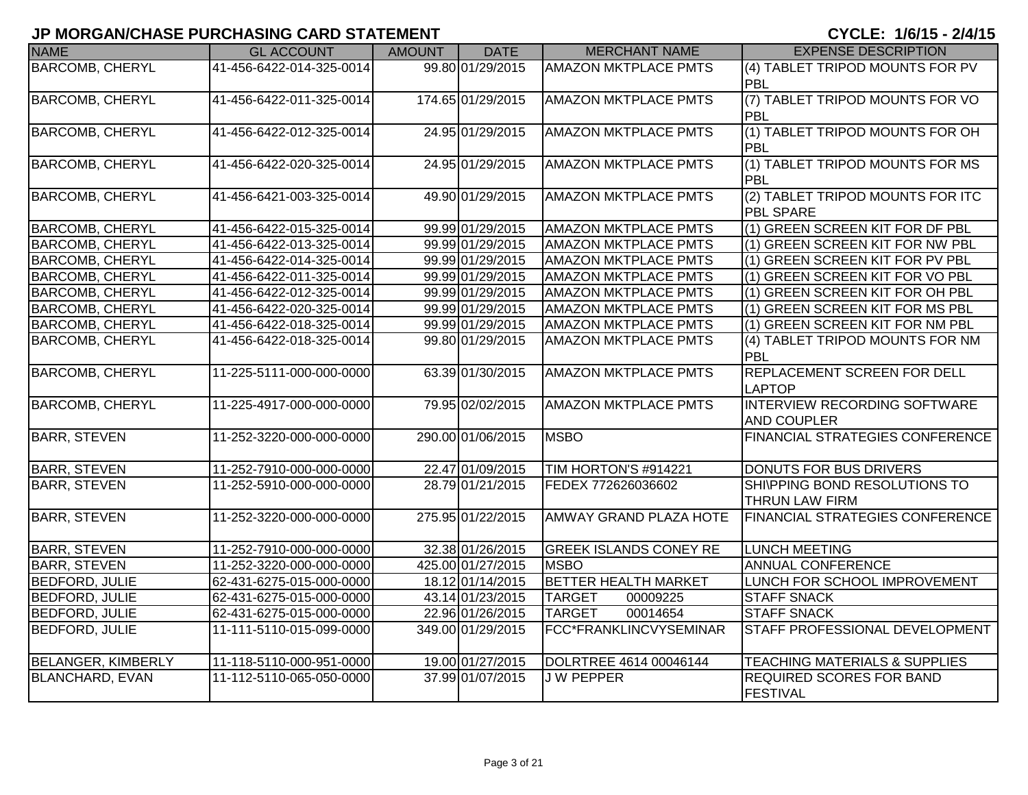| <b>NAME</b>               | <b>GL ACCOUNT</b>        | <b>AMOUNT</b> | <b>DATE</b>       | <b>MERCHANT NAME</b>          | <b>EXPENSE DESCRIPTION</b>             |
|---------------------------|--------------------------|---------------|-------------------|-------------------------------|----------------------------------------|
| <b>BARCOMB, CHERYL</b>    | 41-456-6422-014-325-0014 |               | 99.80 01/29/2015  | <b>AMAZON MKTPLACE PMTS</b>   | (4) TABLET TRIPOD MOUNTS FOR PV        |
|                           |                          |               |                   |                               | PBL                                    |
| <b>BARCOMB, CHERYL</b>    | 41-456-6422-011-325-0014 |               | 174.65 01/29/2015 | <b>AMAZON MKTPLACE PMTS</b>   | (7) TABLET TRIPOD MOUNTS FOR VO        |
|                           |                          |               |                   |                               | PBL                                    |
| <b>BARCOMB, CHERYL</b>    | 41-456-6422-012-325-0014 |               | 24.95 01/29/2015  | <b>AMAZON MKTPLACE PMTS</b>   | (1) TABLET TRIPOD MOUNTS FOR OH        |
|                           |                          |               |                   |                               | PBL                                    |
| <b>BARCOMB, CHERYL</b>    | 41-456-6422-020-325-0014 |               | 24.95 01/29/2015  | <b>AMAZON MKTPLACE PMTS</b>   | (1) TABLET TRIPOD MOUNTS FOR MS        |
|                           |                          |               |                   |                               | PBL                                    |
| <b>BARCOMB, CHERYL</b>    | 41-456-6421-003-325-0014 |               | 49.90 01/29/2015  | <b>AMAZON MKTPLACE PMTS</b>   | (2) TABLET TRIPOD MOUNTS FOR ITC       |
|                           |                          |               |                   |                               | <b>PBL SPARE</b>                       |
| <b>BARCOMB, CHERYL</b>    | 41-456-6422-015-325-0014 |               | 99.99 01/29/2015  | <b>AMAZON MKTPLACE PMTS</b>   | (1) GREEN SCREEN KIT FOR DF PBL        |
| <b>BARCOMB, CHERYL</b>    | 41-456-6422-013-325-0014 |               | 99.99 01/29/2015  | <b>AMAZON MKTPLACE PMTS</b>   | (1) GREEN SCREEN KIT FOR NW PBL        |
| <b>BARCOMB, CHERYL</b>    | 41-456-6422-014-325-0014 |               | 99.99 01/29/2015  | <b>AMAZON MKTPLACE PMTS</b>   | (1) GREEN SCREEN KIT FOR PV PBL        |
| <b>BARCOMB, CHERYL</b>    | 41-456-6422-011-325-0014 |               | 99.99 01/29/2015  | <b>AMAZON MKTPLACE PMTS</b>   | (1) GREEN SCREEN KIT FOR VO PBL        |
| <b>BARCOMB, CHERYL</b>    | 41-456-6422-012-325-0014 |               | 99.99 01/29/2015  | <b>AMAZON MKTPLACE PMTS</b>   | (1) GREEN SCREEN KIT FOR OH PBL        |
| <b>BARCOMB, CHERYL</b>    | 41-456-6422-020-325-0014 |               | 99.99 01/29/2015  | <b>AMAZON MKTPLACE PMTS</b>   | (1) GREEN SCREEN KIT FOR MS PBL        |
| <b>BARCOMB, CHERYL</b>    | 41-456-6422-018-325-0014 |               | 99.99 01/29/2015  | <b>AMAZON MKTPLACE PMTS</b>   | (1) GREEN SCREEN KIT FOR NM PBL        |
| <b>BARCOMB, CHERYL</b>    | 41-456-6422-018-325-0014 |               | 99.80 01/29/2015  | <b>AMAZON MKTPLACE PMTS</b>   | (4) TABLET TRIPOD MOUNTS FOR NM        |
|                           |                          |               |                   |                               | <b>PBL</b>                             |
| <b>BARCOMB, CHERYL</b>    | 11-225-5111-000-000-0000 |               | 63.39 01/30/2015  | <b>AMAZON MKTPLACE PMTS</b>   | REPLACEMENT SCREEN FOR DELL            |
|                           |                          |               |                   |                               | <b>LAPTOP</b>                          |
| <b>BARCOMB, CHERYL</b>    | 11-225-4917-000-000-0000 |               | 79.95 02/02/2015  | <b>AMAZON MKTPLACE PMTS</b>   | INTERVIEW RECORDING SOFTWARE           |
|                           |                          |               |                   |                               | <b>AND COUPLER</b>                     |
| <b>BARR, STEVEN</b>       | 11-252-3220-000-000-0000 |               | 290.00 01/06/2015 | <b>MSBO</b>                   | <b>FINANCIAL STRATEGIES CONFERENCE</b> |
|                           |                          |               |                   |                               |                                        |
| <b>BARR, STEVEN</b>       | 11-252-7910-000-000-0000 |               | 22.47 01/09/2015  | TIM HORTON'S #914221          | DONUTS FOR BUS DRIVERS                 |
| <b>BARR, STEVEN</b>       | 11-252-5910-000-000-0000 |               | 28.79 01/21/2015  | FEDEX 772626036602            | SHI\PPING BOND RESOLUTIONS TO          |
|                           |                          |               |                   |                               | <b>THRUN LAW FIRM</b>                  |
| <b>BARR, STEVEN</b>       | 11-252-3220-000-000-0000 |               | 275.95 01/22/2015 | <b>AMWAY GRAND PLAZA HOTE</b> | <b>FINANCIAL STRATEGIES CONFERENCE</b> |
|                           |                          |               |                   |                               |                                        |
| <b>BARR, STEVEN</b>       | 11-252-7910-000-000-0000 |               | 32.38 01/26/2015  | <b>GREEK ISLANDS CONEY RE</b> | <b>LUNCH MEETING</b>                   |
| <b>BARR, STEVEN</b>       | 11-252-3220-000-000-0000 |               | 425.00 01/27/2015 | <b>MSBO</b>                   | ANNUAL CONFERENCE                      |
| <b>BEDFORD, JULIE</b>     | 62-431-6275-015-000-0000 |               | 18.12 01/14/2015  | <b>BETTER HEALTH MARKET</b>   | LUNCH FOR SCHOOL IMPROVEMENT           |
| <b>BEDFORD, JULIE</b>     | 62-431-6275-015-000-0000 |               | 43.14 01/23/2015  | <b>TARGET</b><br>00009225     | <b>STAFF SNACK</b>                     |
| <b>BEDFORD, JULIE</b>     | 62-431-6275-015-000-0000 |               | 22.96 01/26/2015  | <b>TARGET</b><br>00014654     | <b>STAFF SNACK</b>                     |
| <b>BEDFORD, JULIE</b>     | 11-111-5110-015-099-0000 |               | 349.00 01/29/2015 | FCC*FRANKLINCVYSEMINAR        | STAFF PROFESSIONAL DEVELOPMENT         |
|                           |                          |               |                   |                               |                                        |
| <b>BELANGER, KIMBERLY</b> | 11-118-5110-000-951-0000 |               | 19.00 01/27/2015  | DOLRTREE 4614 00046144        | TEACHING MATERIALS & SUPPLIES          |
| <b>BLANCHARD, EVAN</b>    | 11-112-5110-065-050-0000 |               | 37.99 01/07/2015  | <b>JW PEPPER</b>              | REQUIRED SCORES FOR BAND               |
|                           |                          |               |                   |                               | FESTIVAL                               |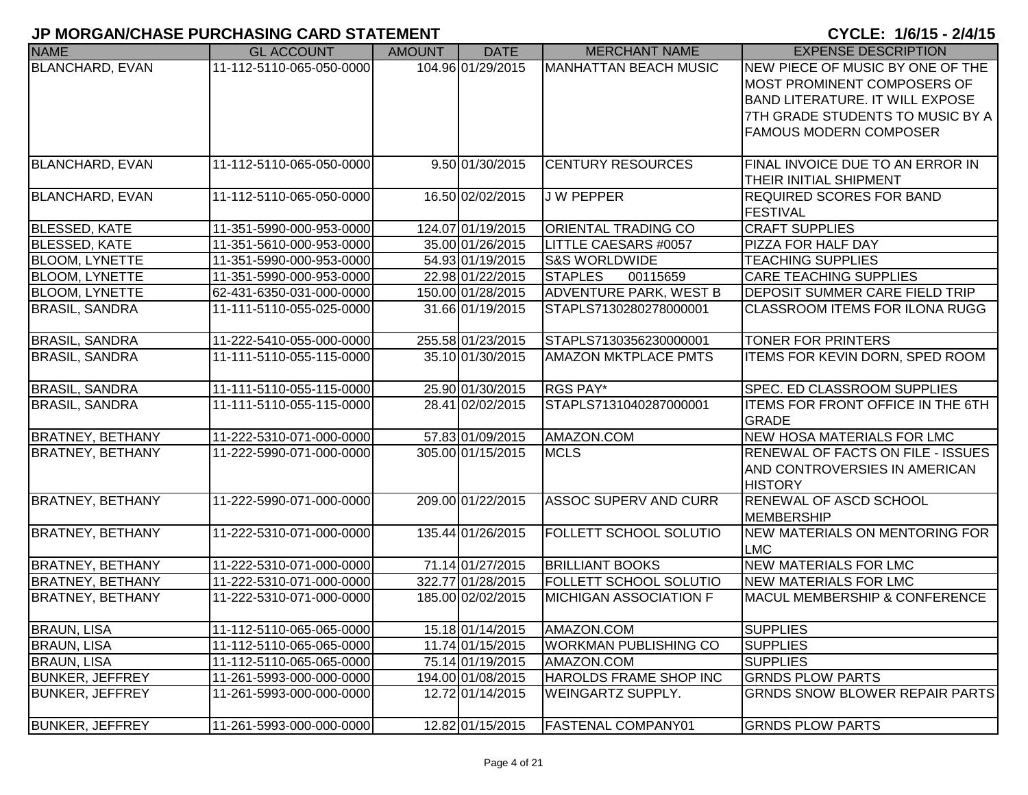| <b>NAME</b>             | <b>GL ACCOUNT</b>        | <b>AMOUNT</b> | <b>DATE</b>       | <b>MERCHANT NAME</b>          | <b>EXPENSE DESCRIPTION</b>               |
|-------------------------|--------------------------|---------------|-------------------|-------------------------------|------------------------------------------|
| <b>BLANCHARD, EVAN</b>  | 11-112-5110-065-050-0000 |               | 104.96 01/29/2015 | MANHATTAN BEACH MUSIC         | NEW PIECE OF MUSIC BY ONE OF THE         |
|                         |                          |               |                   |                               | <b>MOST PROMINENT COMPOSERS OF</b>       |
|                         |                          |               |                   |                               | <b>BAND LITERATURE. IT WILL EXPOSE</b>   |
|                         |                          |               |                   |                               | 7TH GRADE STUDENTS TO MUSIC BY A         |
|                         |                          |               |                   |                               | <b>FAMOUS MODERN COMPOSER</b>            |
|                         |                          |               |                   |                               |                                          |
| <b>BLANCHARD, EVAN</b>  | 11-112-5110-065-050-0000 |               | 9.50 01/30/2015   | <b>CENTURY RESOURCES</b>      | FINAL INVOICE DUE TO AN ERROR IN         |
|                         |                          |               |                   |                               | THEIR INITIAL SHIPMENT                   |
| <b>BLANCHARD, EVAN</b>  | 11-112-5110-065-050-0000 |               | 16.50 02/02/2015  | <b>JW PEPPER</b>              | <b>REQUIRED SCORES FOR BAND</b>          |
|                         |                          |               |                   |                               | FESTIVAL                                 |
| <b>BLESSED, KATE</b>    | 11-351-5990-000-953-0000 |               | 124.07 01/19/2015 | <b>ORIENTAL TRADING CO</b>    | <b>CRAFT SUPPLIES</b>                    |
| <b>BLESSED, KATE</b>    | 11-351-5610-000-953-0000 |               | 35.00 01/26/2015  | LITTLE CAESARS #0057          | PIZZA FOR HALF DAY                       |
| <b>BLOOM, LYNETTE</b>   | 11-351-5990-000-953-0000 |               | 54.93 01/19/2015  | <b>S&amp;S WORLDWIDE</b>      | <b>TEACHING SUPPLIES</b>                 |
| <b>BLOOM, LYNETTE</b>   | 11-351-5990-000-953-0000 |               | 22.98 01/22/2015  | <b>STAPLES</b><br>00115659    | <b>CARE TEACHING SUPPLIES</b>            |
| <b>BLOOM, LYNETTE</b>   | 62-431-6350-031-000-0000 |               | 150.00 01/28/2015 | <b>ADVENTURE PARK, WEST B</b> | <b>DEPOSIT SUMMER CARE FIELD TRIP</b>    |
| <b>BRASIL, SANDRA</b>   | 11-111-5110-055-025-0000 |               | 31.66 01/19/2015  | STAPLS7130280278000001        | <b>CLASSROOM ITEMS FOR ILONA RUGG</b>    |
|                         |                          |               |                   |                               |                                          |
| <b>BRASIL, SANDRA</b>   | 11-222-5410-055-000-0000 |               | 255.58 01/23/2015 | STAPLS7130356230000001        | TONER FOR PRINTERS                       |
| <b>BRASIL, SANDRA</b>   | 11-111-5110-055-115-0000 |               | 35.10 01/30/2015  | <b>AMAZON MKTPLACE PMTS</b>   | <b>ITEMS FOR KEVIN DORN, SPED ROOM</b>   |
|                         |                          |               |                   |                               |                                          |
| <b>BRASIL, SANDRA</b>   | 11-111-5110-055-115-0000 |               | 25.90 01/30/2015  | RGS PAY*                      | SPEC. ED CLASSROOM SUPPLIES              |
| <b>BRASIL, SANDRA</b>   | 11-111-5110-055-115-0000 |               | 28.41 02/02/2015  | STAPLS7131040287000001        | ITEMS FOR FRONT OFFICE IN THE 6TH        |
|                         |                          |               |                   |                               | <b>GRADE</b>                             |
| <b>BRATNEY, BETHANY</b> | 11-222-5310-071-000-0000 |               | 57.83 01/09/2015  | AMAZON.COM                    | <b>NEW HOSA MATERIALS FOR LMC</b>        |
| <b>BRATNEY, BETHANY</b> | 11-222-5990-071-000-0000 |               | 305.00 01/15/2015 | <b>MCLS</b>                   | RENEWAL OF FACTS ON FILE - ISSUES        |
|                         |                          |               |                   |                               | AND CONTROVERSIES IN AMERICAN            |
|                         |                          |               |                   |                               | <b>HISTORY</b>                           |
| <b>BRATNEY, BETHANY</b> | 11-222-5990-071-000-0000 |               | 209.00 01/22/2015 | <b>ASSOC SUPERV AND CURR</b>  | <b>RENEWAL OF ASCD SCHOOL</b>            |
|                         |                          |               |                   |                               | <b>MEMBERSHIP</b>                        |
| <b>BRATNEY, BETHANY</b> | 11-222-5310-071-000-0000 |               | 135.44 01/26/2015 | FOLLETT SCHOOL SOLUTIO        | <b>NEW MATERIALS ON MENTORING FOR</b>    |
|                         |                          |               |                   |                               | <b>LMC</b>                               |
| <b>BRATNEY, BETHANY</b> | 11-222-5310-071-000-0000 |               | 71.14 01/27/2015  | <b>BRILLIANT BOOKS</b>        | <b>NEW MATERIALS FOR LMC</b>             |
| <b>BRATNEY, BETHANY</b> | 11-222-5310-071-000-0000 |               | 322.77 01/28/2015 | FOLLETT SCHOOL SOLUTIO        | NEW MATERIALS FOR LMC                    |
| <b>BRATNEY, BETHANY</b> | 11-222-5310-071-000-0000 |               | 185.00 02/02/2015 | <b>MICHIGAN ASSOCIATION F</b> | <b>MACUL MEMBERSHIP &amp; CONFERENCE</b> |
| <b>BRAUN, LISA</b>      | 11-112-5110-065-065-0000 |               | 15.18 01/14/2015  | AMAZON.COM                    | <b>SUPPLIES</b>                          |
| <b>BRAUN, LISA</b>      | 11-112-5110-065-065-0000 |               | 11.74 01/15/2015  | <b>WORKMAN PUBLISHING CO</b>  | <b>SUPPLIES</b>                          |
| <b>BRAUN, LISA</b>      | 11-112-5110-065-065-0000 |               | 75.14 01/19/2015  | AMAZON.COM                    | <b>SUPPLIES</b>                          |
| <b>BUNKER, JEFFREY</b>  | 11-261-5993-000-000-0000 |               | 194.00 01/08/2015 | HAROLDS FRAME SHOP INC        | <b>GRNDS PLOW PARTS</b>                  |
| <b>BUNKER, JEFFREY</b>  | 11-261-5993-000-000-0000 |               | 12.72 01/14/2015  | <b>WEINGARTZ SUPPLY.</b>      | <b>GRNDS SNOW BLOWER REPAIR PARTS</b>    |
|                         |                          |               |                   |                               |                                          |
| <b>BUNKER, JEFFREY</b>  | 11-261-5993-000-000-0000 |               | 12.82 01/15/2015  | <b>FASTENAL COMPANY01</b>     | <b>GRNDS PLOW PARTS</b>                  |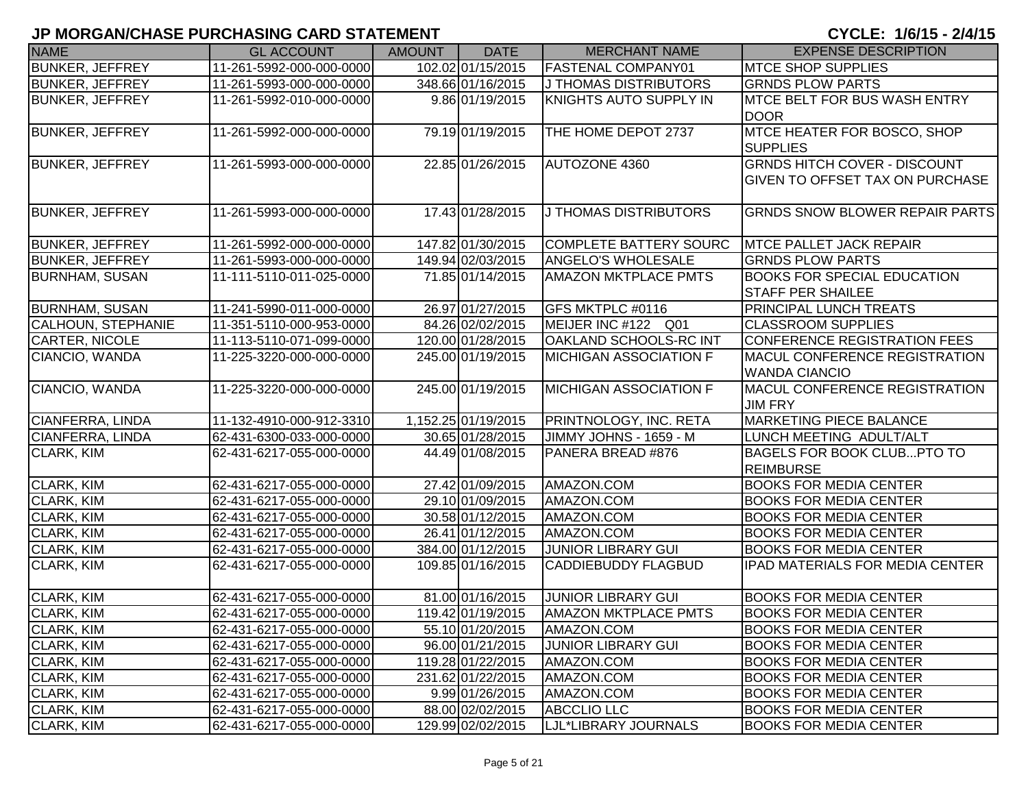| <b>NAME</b>               | <b>GL ACCOUNT</b>        | <b>AMOUNT</b> | <b>DATE</b>         | <b>MERCHANT NAME</b>          | <b>EXPENSE DESCRIPTION</b>                                                    |
|---------------------------|--------------------------|---------------|---------------------|-------------------------------|-------------------------------------------------------------------------------|
| <b>BUNKER, JEFFREY</b>    | 11-261-5992-000-000-0000 |               | 102.02 01/15/2015   | <b>FASTENAL COMPANY01</b>     | <b>MTCE SHOP SUPPLIES</b>                                                     |
| <b>BUNKER, JEFFREY</b>    | 11-261-5993-000-000-0000 |               | 348.66 01/16/2015   | <b>J THOMAS DISTRIBUTORS</b>  | <b>GRNDS PLOW PARTS</b>                                                       |
| <b>BUNKER, JEFFREY</b>    | 11-261-5992-010-000-0000 |               | 9.86 01/19/2015     | KNIGHTS AUTO SUPPLY IN        | <b>MTCE BELT FOR BUS WASH ENTRY</b><br><b>DOOR</b>                            |
| <b>BUNKER, JEFFREY</b>    | 11-261-5992-000-000-0000 |               | 79.19 01/19/2015    | THE HOME DEPOT 2737           | MTCE HEATER FOR BOSCO, SHOP<br><b>SUPPLIES</b>                                |
| <b>BUNKER, JEFFREY</b>    | 11-261-5993-000-000-0000 |               | 22.85 01/26/2015    | AUTOZONE 4360                 | <b>GRNDS HITCH COVER - DISCOUNT</b><br><b>GIVEN TO OFFSET TAX ON PURCHASE</b> |
| <b>BUNKER, JEFFREY</b>    | 11-261-5993-000-000-0000 |               | 17.43 01/28/2015    | J THOMAS DISTRIBUTORS         | <b>GRNDS SNOW BLOWER REPAIR PARTS</b>                                         |
| <b>BUNKER, JEFFREY</b>    | 11-261-5992-000-000-0000 |               | 147.82 01/30/2015   | COMPLETE BATTERY SOURC        | <b>MTCE PALLET JACK REPAIR</b>                                                |
| <b>BUNKER, JEFFREY</b>    | 11-261-5993-000-000-0000 |               | 149.94 02/03/2015   | <b>ANGELO'S WHOLESALE</b>     | <b>GRNDS PLOW PARTS</b>                                                       |
| <b>BURNHAM, SUSAN</b>     | 11-111-5110-011-025-0000 |               | 71.85 01/14/2015    | <b>AMAZON MKTPLACE PMTS</b>   | <b>BOOKS FOR SPECIAL EDUCATION</b><br><b>STAFF PER SHAILEE</b>                |
| <b>BURNHAM, SUSAN</b>     | 11-241-5990-011-000-0000 |               | 26.97 01/27/2015    | GFS MKTPLC #0116              | PRINCIPAL LUNCH TREATS                                                        |
| <b>CALHOUN, STEPHANIE</b> | 11-351-5110-000-953-0000 |               | 84.26 02/02/2015    | MEIJER INC #122 Q01           | <b>CLASSROOM SUPPLIES</b>                                                     |
| CARTER, NICOLE            | 11-113-5110-071-099-0000 |               | 120.00 01/28/2015   | <b>OAKLAND SCHOOLS-RC INT</b> | CONFERENCE REGISTRATION FEES                                                  |
| CIANCIO, WANDA            | 11-225-3220-000-000-0000 |               | 245.00 01/19/2015   | <b>MICHIGAN ASSOCIATION F</b> | <b>MACUL CONFERENCE REGISTRATION</b><br><b>WANDA CIANCIO</b>                  |
| CIANCIO, WANDA            | 11-225-3220-000-000-0000 |               | 245.00 01/19/2015   | <b>MICHIGAN ASSOCIATION F</b> | MACUL CONFERENCE REGISTRATION<br><b>JIM FRY</b>                               |
| CIANFERRA, LINDA          | 11-132-4910-000-912-3310 |               | 1,152.25 01/19/2015 | <b>PRINTNOLOGY, INC. RETA</b> | <b>MARKETING PIECE BALANCE</b>                                                |
| <b>CIANFERRA, LINDA</b>   | 62-431-6300-033-000-0000 |               | 30.65 01/28/2015    | JIMMY JOHNS - 1659 - M        | LUNCH MEETING ADULT/ALT                                                       |
| CLARK, KIM                | 62-431-6217-055-000-0000 |               | 44.49 01/08/2015    | PANERA BREAD #876             | <b>BAGELS FOR BOOK CLUBPTO TO</b><br><b>REIMBURSE</b>                         |
| CLARK, KIM                | 62-431-6217-055-000-0000 |               | 27.42 01/09/2015    | AMAZON.COM                    | <b>BOOKS FOR MEDIA CENTER</b>                                                 |
| <b>CLARK, KIM</b>         | 62-431-6217-055-000-0000 |               | 29.10 01/09/2015    | AMAZON.COM                    | <b>BOOKS FOR MEDIA CENTER</b>                                                 |
| <b>CLARK, KIM</b>         | 62-431-6217-055-000-0000 |               | 30.58 01/12/2015    | AMAZON.COM                    | <b>BOOKS FOR MEDIA CENTER</b>                                                 |
| <b>CLARK, KIM</b>         | 62-431-6217-055-000-0000 |               | 26.41 01/12/2015    | AMAZON.COM                    | <b>BOOKS FOR MEDIA CENTER</b>                                                 |
| <b>CLARK, KIM</b>         | 62-431-6217-055-000-0000 |               | 384.00 01/12/2015   | <b>JUNIOR LIBRARY GUI</b>     | <b>BOOKS FOR MEDIA CENTER</b>                                                 |
| <b>CLARK, KIM</b>         | 62-431-6217-055-000-0000 |               | 109.85 01/16/2015   | CADDIEBUDDY FLAGBUD           | <b>IPAD MATERIALS FOR MEDIA CENTER</b>                                        |
| CLARK, KIM                | 62-431-6217-055-000-0000 |               | 81.00 01/16/2015    | <b>JUNIOR LIBRARY GUI</b>     | <b>BOOKS FOR MEDIA CENTER</b>                                                 |
| CLARK, KIM                | 62-431-6217-055-000-0000 |               | 119.42 01/19/2015   | <b>AMAZON MKTPLACE PMTS</b>   | <b>BOOKS FOR MEDIA CENTER</b>                                                 |
| <b>CLARK, KIM</b>         | 62-431-6217-055-000-0000 |               | 55.10 01/20/2015    | AMAZON.COM                    | <b>BOOKS FOR MEDIA CENTER</b>                                                 |
| <b>CLARK, KIM</b>         | 62-431-6217-055-000-0000 |               | 96.00 01/21/2015    | <b>JUNIOR LIBRARY GUI</b>     | <b>BOOKS FOR MEDIA CENTER</b>                                                 |
| CLARK, KIM                | 62-431-6217-055-000-0000 |               | 119.28 01/22/2015   | AMAZON.COM                    | <b>BOOKS FOR MEDIA CENTER</b>                                                 |
| <b>CLARK, KIM</b>         | 62-431-6217-055-000-0000 |               | 231.62 01/22/2015   | AMAZON.COM                    | <b>BOOKS FOR MEDIA CENTER</b>                                                 |
| CLARK, KIM                | 62-431-6217-055-000-0000 |               | 9.99 01/26/2015     | AMAZON.COM                    | <b>BOOKS FOR MEDIA CENTER</b>                                                 |
| <b>CLARK, KIM</b>         | 62-431-6217-055-000-0000 |               | 88.00 02/02/2015    | <b>ABCCLIO LLC</b>            | <b>BOOKS FOR MEDIA CENTER</b>                                                 |
| CLARK, KIM                | 62-431-6217-055-000-0000 |               | 129.99 02/02/2015   | LJL*LIBRARY JOURNALS          | <b>BOOKS FOR MEDIA CENTER</b>                                                 |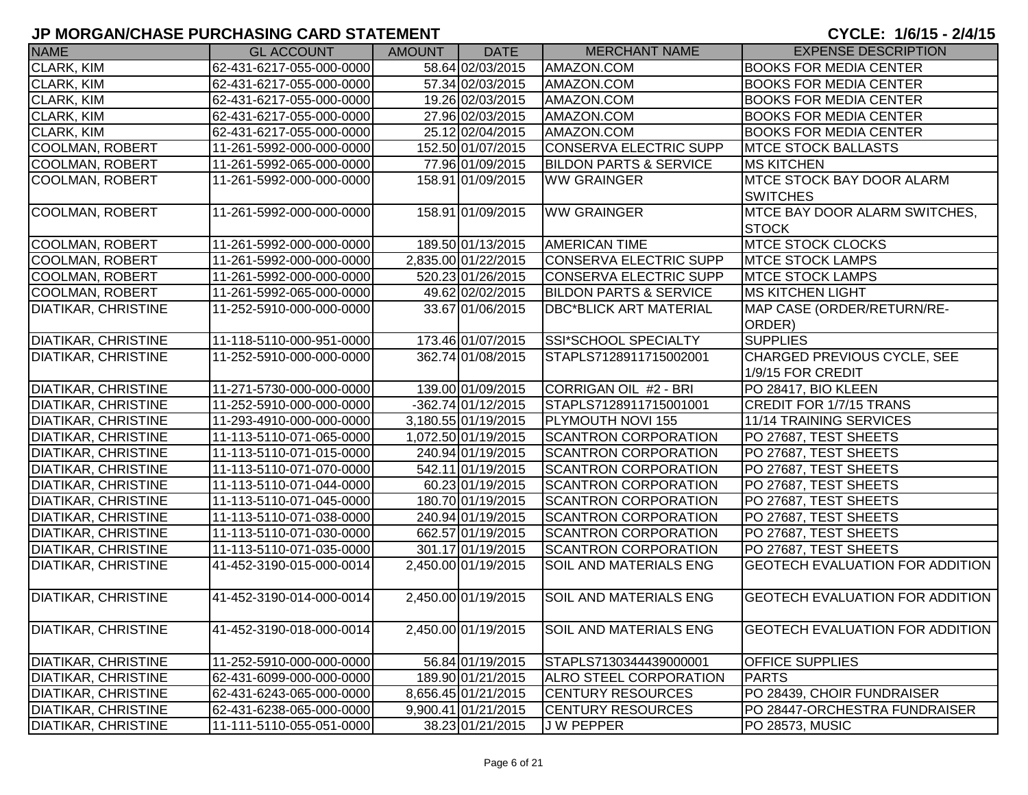| <b>NAME</b>                | <b>GL ACCOUNT</b>        | AMOUNT | <b>DATE</b>         | <b>MERCHANT NAME</b>              | <b>EXPENSE DESCRIPTION</b>             |
|----------------------------|--------------------------|--------|---------------------|-----------------------------------|----------------------------------------|
| CLARK, KIM                 | 62-431-6217-055-000-0000 |        | 58.64 02/03/2015    | AMAZON.COM                        | <b>BOOKS FOR MEDIA CENTER</b>          |
| <b>CLARK, KIM</b>          | 62-431-6217-055-000-0000 |        | 57.34 02/03/2015    | AMAZON.COM                        | <b>BOOKS FOR MEDIA CENTER</b>          |
| CLARK, KIM                 | 62-431-6217-055-000-0000 |        | 19.26 02/03/2015    | AMAZON.COM                        | <b>BOOKS FOR MEDIA CENTER</b>          |
| CLARK, KIM                 | 62-431-6217-055-000-0000 |        | 27.96 02/03/2015    | AMAZON.COM                        | <b>BOOKS FOR MEDIA CENTER</b>          |
| <b>CLARK, KIM</b>          | 62-431-6217-055-000-0000 |        | 25.12 02/04/2015    | AMAZON.COM                        | <b>BOOKS FOR MEDIA CENTER</b>          |
| <b>COOLMAN, ROBERT</b>     | 11-261-5992-000-000-0000 |        | 152.50 01/07/2015   | <b>CONSERVA ELECTRIC SUPP</b>     | <b>IMTCE STOCK BALLASTS</b>            |
| COOLMAN, ROBERT            | 11-261-5992-065-000-0000 |        | 77.96 01/09/2015    | <b>BILDON PARTS &amp; SERVICE</b> | <b>MS KITCHEN</b>                      |
| COOLMAN, ROBERT            | 11-261-5992-000-000-0000 |        | 158.91 01/09/2015   | <b>WW GRAINGER</b>                | <b>MTCE STOCK BAY DOOR ALARM</b>       |
|                            |                          |        |                     |                                   | <b>SWITCHES</b>                        |
| COOLMAN, ROBERT            | 11-261-5992-000-000-0000 |        | 158.91 01/09/2015   | <b>WW GRAINGER</b>                | MTCE BAY DOOR ALARM SWITCHES,          |
|                            |                          |        |                     |                                   | <b>STOCK</b>                           |
| COOLMAN, ROBERT            | 11-261-5992-000-000-0000 |        | 189.50 01/13/2015   | <b>AMERICAN TIME</b>              | <b>MTCE STOCK CLOCKS</b>               |
| <b>COOLMAN, ROBERT</b>     | 11-261-5992-000-000-0000 |        | 2,835.00 01/22/2015 | CONSERVA ELECTRIC SUPP            | <b>MTCE STOCK LAMPS</b>                |
| <b>COOLMAN, ROBERT</b>     | 11-261-5992-000-000-0000 |        | 520.23 01/26/2015   | <b>CONSERVA ELECTRIC SUPP</b>     | <b>MTCE STOCK LAMPS</b>                |
| <b>COOLMAN, ROBERT</b>     | 11-261-5992-065-000-0000 |        | 49.62 02/02/2015    | <b>BILDON PARTS &amp; SERVICE</b> | <b>IMS KITCHEN LIGHT</b>               |
| <b>DIATIKAR, CHRISTINE</b> | 11-252-5910-000-000-0000 |        | 33.67 01/06/2015    | <b>DBC*BLICK ART MATERIAL</b>     | MAP CASE (ORDER/RETURN/RE-             |
|                            |                          |        |                     |                                   | ORDER)                                 |
| <b>DIATIKAR, CHRISTINE</b> | 11-118-5110-000-951-0000 |        | 173.46 01/07/2015   | SSI*SCHOOL SPECIALTY              | <b>SUPPLIES</b>                        |
| <b>DIATIKAR, CHRISTINE</b> | 11-252-5910-000-000-0000 |        | 362.74 01/08/2015   | STAPLS7128911715002001            | CHARGED PREVIOUS CYCLE, SEE            |
|                            |                          |        |                     |                                   | 1/9/15 FOR CREDIT                      |
| <b>DIATIKAR, CHRISTINE</b> | 11-271-5730-000-000-0000 |        | 139.00 01/09/2015   | CORRIGAN OIL #2 - BRI             | PO 28417, BIO KLEEN                    |
| <b>DIATIKAR, CHRISTINE</b> | 11-252-5910-000-000-0000 |        | $-362.7401/12/2015$ | STAPLS7128911715001001            | CREDIT FOR 1/7/15 TRANS                |
| <b>DIATIKAR, CHRISTINE</b> | 11-293-4910-000-000-0000 |        | 3,180.55 01/19/2015 | <b>PLYMOUTH NOVI 155</b>          | 11/14 TRAINING SERVICES                |
| <b>DIATIKAR, CHRISTINE</b> | 11-113-5110-071-065-0000 |        | 1,072.50 01/19/2015 | <b>SCANTRON CORPORATION</b>       | PO 27687, TEST SHEETS                  |
| <b>DIATIKAR, CHRISTINE</b> | 11-113-5110-071-015-0000 |        | 240.94 01/19/2015   | <b>SCANTRON CORPORATION</b>       | PO 27687, TEST SHEETS                  |
| <b>DIATIKAR, CHRISTINE</b> | 11-113-5110-071-070-0000 |        | 542.11 01/19/2015   | <b>SCANTRON CORPORATION</b>       | PO 27687, TEST SHEETS                  |
| <b>DIATIKAR, CHRISTINE</b> | 11-113-5110-071-044-0000 |        | 60.23 01/19/2015    | <b>SCANTRON CORPORATION</b>       | PO 27687, TEST SHEETS                  |
| <b>DIATIKAR, CHRISTINE</b> | 11-113-5110-071-045-0000 |        | 180.70 01/19/2015   | <b>SCANTRON CORPORATION</b>       | PO 27687, TEST SHEETS                  |
| <b>DIATIKAR, CHRISTINE</b> | 11-113-5110-071-038-0000 |        | 240.94 01/19/2015   | <b>SCANTRON CORPORATION</b>       | PO 27687, TEST SHEETS                  |
| <b>DIATIKAR, CHRISTINE</b> | 11-113-5110-071-030-0000 |        | 662.57 01/19/2015   | <b>SCANTRON CORPORATION</b>       | PO 27687, TEST SHEETS                  |
| <b>DIATIKAR, CHRISTINE</b> | 11-113-5110-071-035-0000 |        | 301.17 01/19/2015   | <b>SCANTRON CORPORATION</b>       | PO 27687, TEST SHEETS                  |
| <b>DIATIKAR, CHRISTINE</b> | 41-452-3190-015-000-0014 |        | 2,450.00 01/19/2015 | SOIL AND MATERIALS ENG            | <b>GEOTECH EVALUATION FOR ADDITION</b> |
|                            |                          |        |                     |                                   |                                        |
| <b>DIATIKAR, CHRISTINE</b> | 41-452-3190-014-000-0014 |        | 2,450.00 01/19/2015 | <b>SOIL AND MATERIALS ENG</b>     | <b>GEOTECH EVALUATION FOR ADDITION</b> |
|                            |                          |        |                     |                                   |                                        |
| <b>DIATIKAR, CHRISTINE</b> | 41-452-3190-018-000-0014 |        | 2,450.00 01/19/2015 | SOIL AND MATERIALS ENG            | GEOTECH EVALUATION FOR ADDITION        |
|                            |                          |        |                     |                                   |                                        |
| <b>DIATIKAR, CHRISTINE</b> | 11-252-5910-000-000-0000 |        | 56.84 01/19/2015    | STAPLS7130344439000001            | <b>OFFICE SUPPLIES</b>                 |
| <b>DIATIKAR, CHRISTINE</b> | 62-431-6099-000-000-0000 |        | 189.90 01/21/2015   | <b>ALRO STEEL CORPORATION</b>     | <b>PARTS</b>                           |
| <b>DIATIKAR, CHRISTINE</b> | 62-431-6243-065-000-0000 |        | 8,656.45 01/21/2015 | <b>CENTURY RESOURCES</b>          | PO 28439, CHOIR FUNDRAISER             |
| <b>DIATIKAR, CHRISTINE</b> | 62-431-6238-065-000-0000 |        | 9,900.41 01/21/2015 | <b>CENTURY RESOURCES</b>          | PO 28447-ORCHESTRA FUNDRAISER          |
| DIATIKAR, CHRISTINE        | 11-111-5110-055-051-0000 |        | 38.23 01/21/2015    | J W PEPPER                        | PO 28573, MUSIC                        |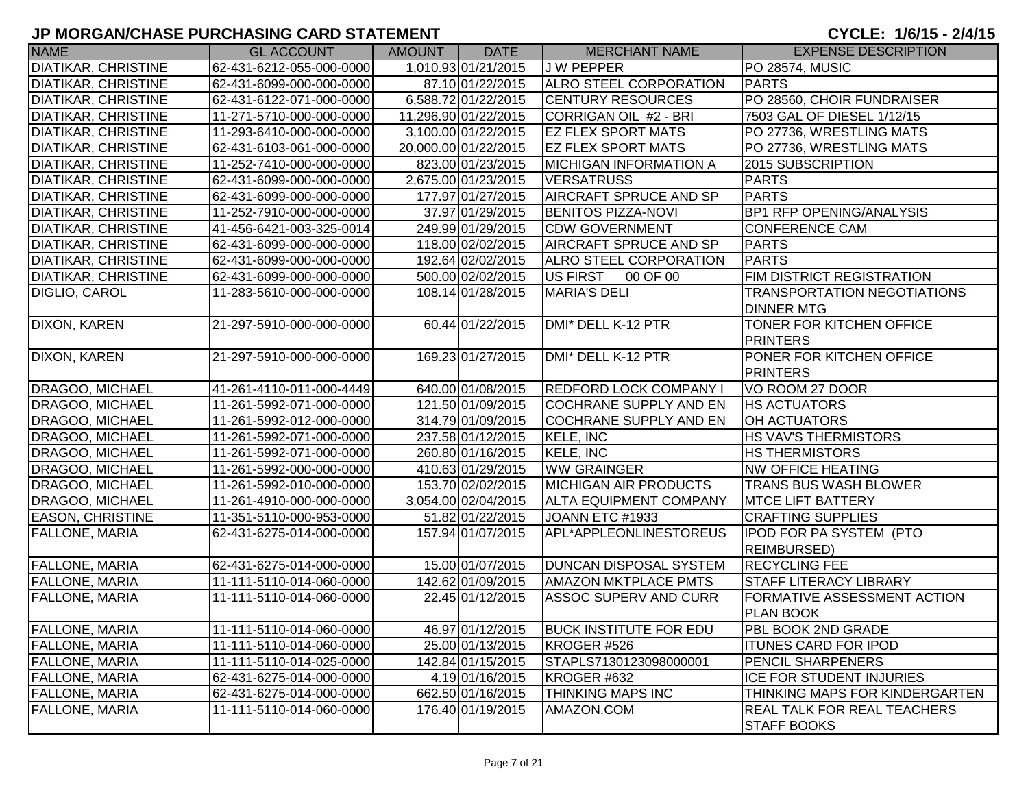| <b>NAME</b>                | <b>GL ACCOUNT</b>        | AMOUNT | <b>DATE</b>          | <b>MERCHANT NAME</b>          | <b>EXPENSE DESCRIPTION</b>         |
|----------------------------|--------------------------|--------|----------------------|-------------------------------|------------------------------------|
| <b>DIATIKAR, CHRISTINE</b> | 62-431-6212-055-000-0000 |        | 1,010.93 01/21/2015  | J W PEPPER                    | PO 28574, MUSIC                    |
| <b>DIATIKAR, CHRISTINE</b> | 62-431-6099-000-000-0000 |        | 87.10 01/22/2015     | ALRO STEEL CORPORATION        | <b>PARTS</b>                       |
| <b>DIATIKAR, CHRISTINE</b> | 62-431-6122-071-000-0000 |        | 6,588.72 01/22/2015  | <b>CENTURY RESOURCES</b>      | PO 28560, CHOIR FUNDRAISER         |
| <b>DIATIKAR, CHRISTINE</b> | 11-271-5710-000-000-0000 |        | 11,296.90 01/22/2015 | CORRIGAN OIL #2 - BRI         | 7503 GAL OF DIESEL 1/12/15         |
| <b>DIATIKAR, CHRISTINE</b> | 11-293-6410-000-000-0000 |        | 3,100.00 01/22/2015  | <b>EZ FLEX SPORT MATS</b>     | PO 27736, WRESTLING MATS           |
| <b>DIATIKAR, CHRISTINE</b> | 62-431-6103-061-000-0000 |        | 20,000.00 01/22/2015 | <b>EZ FLEX SPORT MATS</b>     | PO 27736, WRESTLING MATS           |
| <b>DIATIKAR, CHRISTINE</b> | 11-252-7410-000-000-0000 |        | 823.00 01/23/2015    | <b>MICHIGAN INFORMATION A</b> | 2015 SUBSCRIPTION                  |
| <b>DIATIKAR, CHRISTINE</b> | 62-431-6099-000-000-0000 |        | 2,675.00 01/23/2015  | <b>VERSATRUSS</b>             | <b>PARTS</b>                       |
| DIATIKAR, CHRISTINE        | 62-431-6099-000-000-0000 |        | 177.97 01/27/2015    | AIRCRAFT SPRUCE AND SP        | <b>PARTS</b>                       |
| <b>DIATIKAR, CHRISTINE</b> | 11-252-7910-000-000-0000 |        | 37.97 01/29/2015     | <b>BENITOS PIZZA-NOVI</b>     | <b>BP1 RFP OPENING/ANALYSIS</b>    |
| <b>DIATIKAR, CHRISTINE</b> | 41-456-6421-003-325-0014 |        | 249.99 01/29/2015    | <b>CDW GOVERNMENT</b>         | <b>CONFERENCE CAM</b>              |
| <b>DIATIKAR, CHRISTINE</b> | 62-431-6099-000-000-0000 |        | 118.00 02/02/2015    | <b>AIRCRAFT SPRUCE AND SP</b> | <b>PARTS</b>                       |
| <b>DIATIKAR, CHRISTINE</b> | 62-431-6099-000-000-0000 |        | 192.64 02/02/2015    | <b>ALRO STEEL CORPORATION</b> | <b>PARTS</b>                       |
| <b>DIATIKAR, CHRISTINE</b> | 62-431-6099-000-000-0000 |        | 500.00 02/02/2015    | US FIRST 00 OF 00             | FIM DISTRICT REGISTRATION          |
| DIGLIO, CAROL              | 11-283-5610-000-000-0000 |        | 108.14 01/28/2015    | <b>MARIA'S DELI</b>           | TRANSPORTATION NEGOTIATIONS        |
|                            |                          |        |                      |                               | <b>DINNER MTG</b>                  |
| <b>DIXON, KAREN</b>        | 21-297-5910-000-000-0000 |        | 60.44 01/22/2015     | DMI* DELL K-12 PTR            | TONER FOR KITCHEN OFFICE           |
|                            |                          |        |                      |                               | <b>PRINTERS</b>                    |
| <b>DIXON, KAREN</b>        | 21-297-5910-000-000-0000 |        | 169.23 01/27/2015    | DMI* DELL K-12 PTR            | PONER FOR KITCHEN OFFICE           |
|                            |                          |        |                      |                               | <b>PRINTERS</b>                    |
| DRAGOO, MICHAEL            | 41-261-4110-011-000-4449 |        | 640.00 01/08/2015    | <b>REDFORD LOCK COMPANY I</b> | VO ROOM 27 DOOR                    |
| DRAGOO, MICHAEL            | 11-261-5992-071-000-0000 |        | 121.50 01/09/2015    | <b>COCHRANE SUPPLY AND EN</b> | <b>HS ACTUATORS</b>                |
| <b>DRAGOO, MICHAEL</b>     | 11-261-5992-012-000-0000 |        | 314.79 01/09/2015    | <b>COCHRANE SUPPLY AND EN</b> | OH ACTUATORS                       |
| <b>DRAGOO, MICHAEL</b>     | 11-261-5992-071-000-0000 |        | 237.58 01/12/2015    | KELE, INC                     | <b>HS VAV'S THERMISTORS</b>        |
| <b>DRAGOO, MICHAEL</b>     | 11-261-5992-071-000-0000 |        | 260.80 01/16/2015    | KELE, INC                     | <b>HS THERMISTORS</b>              |
| <b>DRAGOO, MICHAEL</b>     | 11-261-5992-000-000-0000 |        | 410.63 01/29/2015    | <b>WW GRAINGER</b>            | <b>NW OFFICE HEATING</b>           |
| <b>DRAGOO, MICHAEL</b>     | 11-261-5992-010-000-0000 |        | 153.70 02/02/2015    | <b>MICHIGAN AIR PRODUCTS</b>  | TRANS BUS WASH BLOWER              |
| <b>DRAGOO, MICHAEL</b>     | 11-261-4910-000-000-0000 |        | 3,054.00 02/04/2015  | <b>ALTA EQUIPMENT COMPANY</b> | <b>MTCE LIFT BATTERY</b>           |
| <b>EASON, CHRISTINE</b>    | 11-351-5110-000-953-0000 |        | 51.82 01/22/2015     | JOANN ETC #1933               | <b>CRAFTING SUPPLIES</b>           |
| <b>FALLONE, MARIA</b>      | 62-431-6275-014-000-0000 |        | 157.94 01/07/2015    | APL*APPLEONLINESTOREUS        | <b>IPOD FOR PA SYSTEM (PTO</b>     |
|                            |                          |        |                      |                               | <b>REIMBURSED)</b>                 |
| <b>FALLONE, MARIA</b>      | 62-431-6275-014-000-0000 |        | 15.00 01/07/2015     | <b>DUNCAN DISPOSAL SYSTEM</b> | <b>RECYCLING FEE</b>               |
| <b>FALLONE, MARIA</b>      | 11-111-5110-014-060-0000 |        | 142.62 01/09/2015    | <b>AMAZON MKTPLACE PMTS</b>   | STAFF LITERACY LIBRARY             |
| <b>FALLONE, MARIA</b>      | 11-111-5110-014-060-0000 |        | 22.45 01/12/2015     | ASSOC SUPERV AND CURR         | FORMATIVE ASSESSMENT ACTION        |
|                            |                          |        |                      |                               | <b>PLAN BOOK</b>                   |
| <b>FALLONE, MARIA</b>      | 11-111-5110-014-060-0000 |        | 46.97 01/12/2015     | <b>BUCK INSTITUTE FOR EDU</b> | PBL BOOK 2ND GRADE                 |
| <b>FALLONE, MARIA</b>      | 11-111-5110-014-060-0000 |        | 25.00 01/13/2015     | KROGER #526                   | <b>ITUNES CARD FOR IPOD</b>        |
| <b>FALLONE, MARIA</b>      | 11-111-5110-014-025-0000 |        | 142.84 01/15/2015    | STAPLS7130123098000001        | <b>PENCIL SHARPENERS</b>           |
| <b>FALLONE, MARIA</b>      | 62-431-6275-014-000-0000 |        | 4.19 01/16/2015      | KROGER #632                   | ICE FOR STUDENT INJURIES           |
| <b>FALLONE, MARIA</b>      | 62-431-6275-014-000-0000 |        | 662.50 01/16/2015    | <b>THINKING MAPS INC</b>      | THINKING MAPS FOR KINDERGARTEN     |
| <b>FALLONE, MARIA</b>      | 11-111-5110-014-060-0000 |        | 176.40 01/19/2015    | AMAZON.COM                    | <b>REAL TALK FOR REAL TEACHERS</b> |
|                            |                          |        |                      |                               | <b>STAFF BOOKS</b>                 |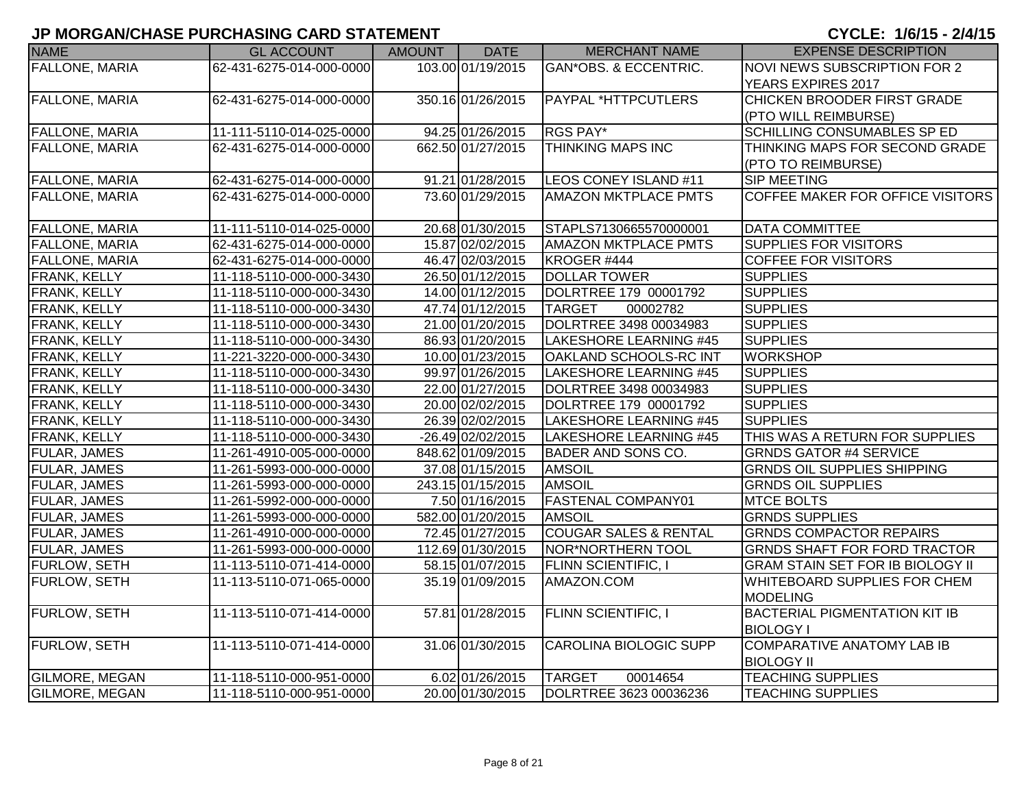| <b>NAME</b>           | <b>GL ACCOUNT</b>        | <b>AMOUNT</b> | <b>DATE</b>       | <b>MERCHANT NAME</b>             | <b>EXPENSE DESCRIPTION</b>              |
|-----------------------|--------------------------|---------------|-------------------|----------------------------------|-----------------------------------------|
| <b>FALLONE, MARIA</b> | 62-431-6275-014-000-0000 |               | 103.00 01/19/2015 | GAN*OBS. & ECCENTRIC.            | <b>NOVI NEWS SUBSCRIPTION FOR 2</b>     |
|                       |                          |               |                   |                                  | YEARS EXPIRES 2017                      |
| <b>FALLONE, MARIA</b> | 62-431-6275-014-000-0000 |               | 350.16 01/26/2015 | <b>PAYPAL *HTTPCUTLERS</b>       | CHICKEN BROODER FIRST GRADE             |
|                       |                          |               |                   |                                  | (PTO WILL REIMBURSE)                    |
| <b>FALLONE, MARIA</b> | 11-111-5110-014-025-0000 |               | 94.25 01/26/2015  | RGS PAY*                         | <b>SCHILLING CONSUMABLES SP ED</b>      |
| <b>FALLONE, MARIA</b> | 62-431-6275-014-000-0000 |               | 662.50 01/27/2015 | <b>THINKING MAPS INC</b>         | THINKING MAPS FOR SECOND GRADE          |
|                       |                          |               |                   |                                  | (PTO TO REIMBURSE)                      |
| <b>FALLONE, MARIA</b> | 62-431-6275-014-000-0000 |               | 91.21 01/28/2015  | LEOS CONEY ISLAND #11            | SIP MEETING                             |
| <b>FALLONE, MARIA</b> | 62-431-6275-014-000-0000 |               | 73.60 01/29/2015  | <b>AMAZON MKTPLACE PMTS</b>      | COFFEE MAKER FOR OFFICE VISITORS        |
|                       |                          |               |                   |                                  |                                         |
| <b>FALLONE, MARIA</b> | 11-111-5110-014-025-0000 |               | 20.68 01/30/2015  | STAPLS7130665570000001           | <b>DATA COMMITTEE</b>                   |
| FALLONE, MARIA        | 62-431-6275-014-000-0000 |               | 15.87 02/02/2015  | <b>AMAZON MKTPLACE PMTS</b>      | SUPPLIES FOR VISITORS                   |
| FALLONE, MARIA        | 62-431-6275-014-000-0000 |               | 46.47 02/03/2015  | KROGER #444                      | <b>COFFEE FOR VISITORS</b>              |
| <b>FRANK, KELLY</b>   | 11-118-5110-000-000-3430 |               | 26.50 01/12/2015  | <b>DOLLAR TOWER</b>              | <b>SUPPLIES</b>                         |
| FRANK, KELLY          | 11-118-5110-000-000-3430 |               | 14.00 01/12/2015  | DOLRTREE 179 00001792            | <b>SUPPLIES</b>                         |
| FRANK, KELLY          | 11-118-5110-000-000-3430 |               | 47.74 01/12/2015  | <b>TARGET</b><br>00002782        | <b>SUPPLIES</b>                         |
| FRANK, KELLY          | 11-118-5110-000-000-3430 |               | 21.00 01/20/2015  | DOLRTREE 3498 00034983           | <b>SUPPLIES</b>                         |
| <b>FRANK, KELLY</b>   | 11-118-5110-000-000-3430 |               | 86.93 01/20/2015  | <b>LAKESHORE LEARNING #45</b>    | <b>SUPPLIES</b>                         |
| <b>FRANK, KELLY</b>   | 11-221-3220-000-000-3430 |               | 10.00 01/23/2015  | OAKLAND SCHOOLS-RC INT           | <b>WORKSHOP</b>                         |
| <b>FRANK, KELLY</b>   | 11-118-5110-000-000-3430 |               | 99.97 01/26/2015  | <b>LAKESHORE LEARNING #45</b>    | <b>SUPPLIES</b>                         |
| <b>FRANK, KELLY</b>   | 11-118-5110-000-000-3430 |               | 22.00 01/27/2015  | DOLRTREE 3498 00034983           | <b>SUPPLIES</b>                         |
| FRANK, KELLY          | 11-118-5110-000-000-3430 |               | 20.00 02/02/2015  | DOLRTREE 179 00001792            | <b>SUPPLIES</b>                         |
| <b>FRANK, KELLY</b>   | 11-118-5110-000-000-3430 |               | 26.39 02/02/2015  | LAKESHORE LEARNING #45           | <b>SUPPLIES</b>                         |
| FRANK, KELLY          | 11-118-5110-000-000-3430 |               | -26.49 02/02/2015 | LAKESHORE LEARNING #45           | THIS WAS A RETURN FOR SUPPLIES          |
| <b>FULAR, JAMES</b>   | 11-261-4910-005-000-0000 |               | 848.62 01/09/2015 | <b>BADER AND SONS CO.</b>        | <b>GRNDS GATOR #4 SERVICE</b>           |
| <b>FULAR, JAMES</b>   | 11-261-5993-000-000-0000 |               | 37.08 01/15/2015  | <b>AMSOIL</b>                    | <b>GRNDS OIL SUPPLIES SHIPPING</b>      |
| <b>FULAR, JAMES</b>   | 11-261-5993-000-000-0000 |               | 243.15 01/15/2015 | <b>AMSOIL</b>                    | <b>GRNDS OIL SUPPLIES</b>               |
| FULAR, JAMES          | 11-261-5992-000-000-0000 |               | 7.50 01/16/2015   | <b>FASTENAL COMPANY01</b>        | <b>MTCE BOLTS</b>                       |
| FULAR, JAMES          | 11-261-5993-000-000-0000 |               | 582.00 01/20/2015 | <b>AMSOIL</b>                    | <b>GRNDS SUPPLIES</b>                   |
| FULAR, JAMES          | 11-261-4910-000-000-0000 |               | 72.45 01/27/2015  | <b>COUGAR SALES &amp; RENTAL</b> | <b>GRNDS COMPACTOR REPAIRS</b>          |
| <b>FULAR, JAMES</b>   | 11-261-5993-000-000-0000 |               | 112.69 01/30/2015 | NOR*NORTHERN TOOL                | <b>GRNDS SHAFT FOR FORD TRACTOR</b>     |
| <b>FURLOW, SETH</b>   | 11-113-5110-071-414-0000 |               | 58.15 01/07/2015  | <b>FLINN SCIENTIFIC, I</b>       | <b>GRAM STAIN SET FOR IB BIOLOGY II</b> |
| FURLOW, SETH          | 11-113-5110-071-065-0000 |               | 35.19 01/09/2015  | AMAZON.COM                       | WHITEBOARD SUPPLIES FOR CHEM            |
|                       |                          |               |                   |                                  | <b>MODELING</b>                         |
| FURLOW, SETH          | 11-113-5110-071-414-0000 |               | 57.81 01/28/2015  | <b>FLINN SCIENTIFIC, I</b>       | <b>BACTERIAL PIGMENTATION KIT IB</b>    |
|                       |                          |               |                   |                                  | <b>BIOLOGY I</b>                        |
| <b>FURLOW, SETH</b>   | 11-113-5110-071-414-0000 |               | 31.06 01/30/2015  | CAROLINA BIOLOGIC SUPP           | <b>COMPARATIVE ANATOMY LAB IB</b>       |
|                       |                          |               |                   |                                  | <b>BIOLOGY II</b>                       |
| <b>GILMORE, MEGAN</b> | 11-118-5110-000-951-0000 |               | 6.02 01/26/2015   | <b>TARGET</b><br>00014654        | <b>TEACHING SUPPLIES</b>                |
| <b>GILMORE, MEGAN</b> | 11-118-5110-000-951-0000 |               | 20.00 01/30/2015  | DOLRTREE 3623 00036236           | <b>TEACHING SUPPLIES</b>                |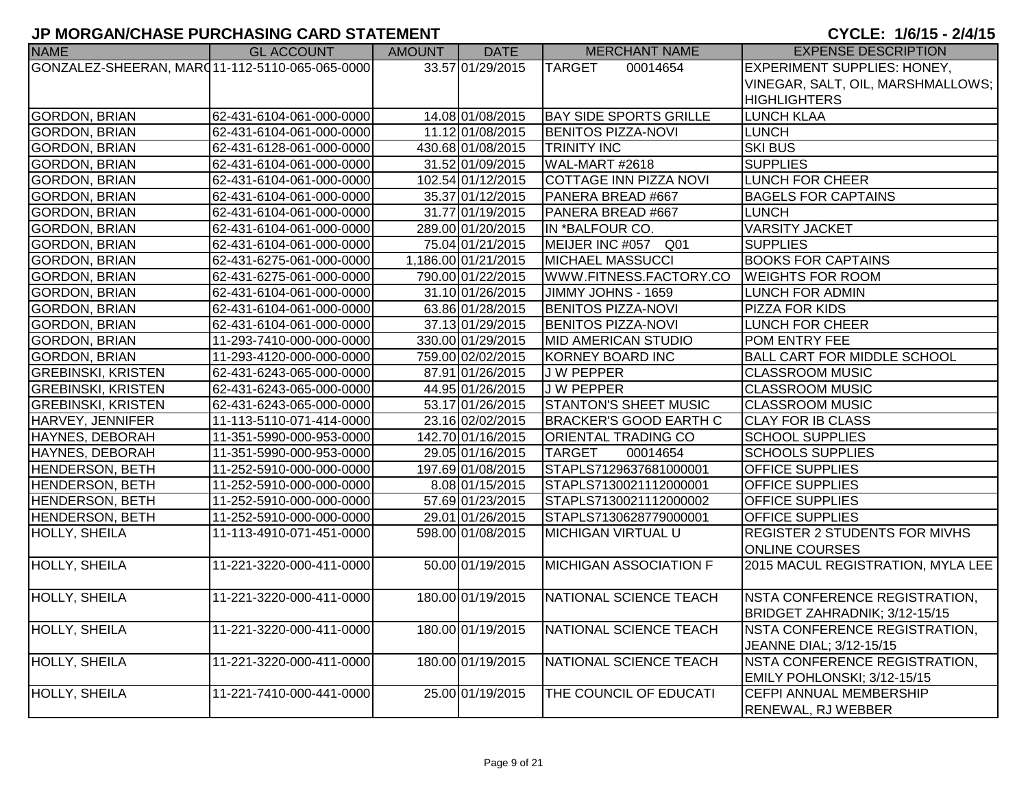| <b>NAME</b>                                     | <b>GL ACCOUNT</b>        | <b>AMOUNT</b> | <b>DATE</b>         | <b>MERCHANT NAME</b>               | <b>EXPENSE DESCRIPTION</b>           |
|-------------------------------------------------|--------------------------|---------------|---------------------|------------------------------------|--------------------------------------|
| GONZALEZ-SHEERAN, MAR(11-112-5110-065-065-0000) |                          |               | 33.57 01/29/2015    | <b>TARGET</b><br>00014654          | <b>EXPERIMENT SUPPLIES: HONEY,</b>   |
|                                                 |                          |               |                     |                                    | VINEGAR, SALT, OIL, MARSHMALLOWS;    |
|                                                 |                          |               |                     |                                    | <b>HIGHLIGHTERS</b>                  |
| <b>GORDON, BRIAN</b>                            | 62-431-6104-061-000-0000 |               | 14.08 01/08/2015    | <b>BAY SIDE SPORTS GRILLE</b>      | <b>LUNCH KLAA</b>                    |
| <b>GORDON, BRIAN</b>                            | 62-431-6104-061-000-0000 |               | 11.12 01/08/2015    | <b>BENITOS PIZZA-NOVI</b>          | <b>LUNCH</b>                         |
| <b>GORDON, BRIAN</b>                            | 62-431-6128-061-000-0000 |               | 430.68 01/08/2015   | <b>TRINITY INC</b>                 | <b>SKI BUS</b>                       |
| <b>GORDON, BRIAN</b>                            | 62-431-6104-061-000-0000 |               | 31.52 01/09/2015    | WAL-MART #2618                     | <b>SUPPLIES</b>                      |
| <b>GORDON, BRIAN</b>                            | 62-431-6104-061-000-0000 |               | 102.54 01/12/2015   | COTTAGE INN PIZZA NOVI             | <b>LUNCH FOR CHEER</b>               |
| <b>GORDON, BRIAN</b>                            | 62-431-6104-061-000-0000 |               | 35.37 01/12/2015    | PANERA BREAD #667                  | <b>BAGELS FOR CAPTAINS</b>           |
| <b>GORDON, BRIAN</b>                            | 62-431-6104-061-000-0000 |               | 31.77 01/19/2015    | PANERA BREAD #667                  | <b>LUNCH</b>                         |
| <b>GORDON, BRIAN</b>                            | 62-431-6104-061-000-0000 |               | 289.00 01/20/2015   | IN *BALFOUR CO.                    | <b>VARSITY JACKET</b>                |
| <b>GORDON, BRIAN</b>                            | 62-431-6104-061-000-0000 |               | 75.04 01/21/2015    | Q <sub>01</sub><br>MEIJER INC #057 | <b>SUPPLIES</b>                      |
| <b>GORDON, BRIAN</b>                            | 62-431-6275-061-000-0000 |               | 1,186.00 01/21/2015 | <b>MICHAEL MASSUCCI</b>            | <b>BOOKS FOR CAPTAINS</b>            |
| <b>GORDON, BRIAN</b>                            | 62-431-6275-061-000-0000 |               | 790.00 01/22/2015   | WWW.FITNESS.FACTORY.CO             | <b>WEIGHTS FOR ROOM</b>              |
| <b>GORDON, BRIAN</b>                            | 62-431-6104-061-000-0000 |               | 31.10 01/26/2015    | JIMMY JOHNS - 1659                 | <b>LUNCH FOR ADMIN</b>               |
| <b>GORDON, BRIAN</b>                            | 62-431-6104-061-000-0000 |               | 63.86 01/28/2015    | <b>BENITOS PIZZA-NOVI</b>          | PIZZA FOR KIDS                       |
| <b>GORDON, BRIAN</b>                            | 62-431-6104-061-000-0000 |               | 37.13 01/29/2015    | <b>BENITOS PIZZA-NOVI</b>          | <b>LUNCH FOR CHEER</b>               |
| <b>GORDON, BRIAN</b>                            | 11-293-7410-000-000-0000 |               | 330.00 01/29/2015   | <b>MID AMERICAN STUDIO</b>         | POM ENTRY FEE                        |
| <b>GORDON, BRIAN</b>                            | 11-293-4120-000-000-0000 |               | 759.00 02/02/2015   | KORNEY BOARD INC                   | <b>BALL CART FOR MIDDLE SCHOOL</b>   |
| <b>GREBINSKI, KRISTEN</b>                       | 62-431-6243-065-000-0000 |               | 87.91 01/26/2015    | <b>JW PEPPER</b>                   | <b>CLASSROOM MUSIC</b>               |
| <b>GREBINSKI, KRISTEN</b>                       | 62-431-6243-065-000-0000 |               | 44.95 01/26/2015    | <b>JW PEPPER</b>                   | <b>CLASSROOM MUSIC</b>               |
| <b>GREBINSKI, KRISTEN</b>                       | 62-431-6243-065-000-0000 |               | 53.17 01/26/2015    | <b>STANTON'S SHEET MUSIC</b>       | <b>CLASSROOM MUSIC</b>               |
| HARVEY, JENNIFER                                | 11-113-5110-071-414-0000 |               | 23.16 02/02/2015    | <b>BRACKER'S GOOD EARTH C</b>      | <b>CLAY FOR IB CLASS</b>             |
| <b>HAYNES, DEBORAH</b>                          | 11-351-5990-000-953-0000 |               | 142.70 01/16/2015   | <b>ORIENTAL TRADING CO</b>         | <b>SCHOOL SUPPLIES</b>               |
| HAYNES, DEBORAH                                 | 11-351-5990-000-953-0000 |               | 29.05 01/16/2015    | 00014654<br><b>TARGET</b>          | <b>SCHOOLS SUPPLIES</b>              |
| <b>HENDERSON, BETH</b>                          | 11-252-5910-000-000-0000 |               | 197.69 01/08/2015   | STAPLS7129637681000001             | <b>OFFICE SUPPLIES</b>               |
| HENDERSON, BETH                                 | 11-252-5910-000-000-0000 |               | 8.08 01/15/2015     | STAPLS7130021112000001             | <b>OFFICE SUPPLIES</b>               |
| <b>HENDERSON, BETH</b>                          | 11-252-5910-000-000-0000 |               | 57.69 01/23/2015    | STAPLS7130021112000002             | <b>OFFICE SUPPLIES</b>               |
| <b>HENDERSON, BETH</b>                          | 11-252-5910-000-000-0000 |               | 29.01 01/26/2015    | STAPLS7130628779000001             | <b>OFFICE SUPPLIES</b>               |
| <b>HOLLY, SHEILA</b>                            | 11-113-4910-071-451-0000 |               | 598.00 01/08/2015   | <b>MICHIGAN VIRTUAL U</b>          | <b>REGISTER 2 STUDENTS FOR MIVHS</b> |
|                                                 |                          |               |                     |                                    | <b>ONLINE COURSES</b>                |
| <b>HOLLY, SHEILA</b>                            | 11-221-3220-000-411-0000 |               | 50.00 01/19/2015    | <b>MICHIGAN ASSOCIATION F</b>      | 2015 MACUL REGISTRATION, MYLA LEE    |
|                                                 |                          |               |                     |                                    |                                      |
| <b>HOLLY, SHEILA</b>                            | 11-221-3220-000-411-0000 |               | 180.00 01/19/2015   | NATIONAL SCIENCE TEACH             | NSTA CONFERENCE REGISTRATION,        |
|                                                 |                          |               |                     |                                    | BRIDGET ZAHRADNIK; 3/12-15/15        |
| <b>HOLLY, SHEILA</b>                            | 11-221-3220-000-411-0000 |               | 180.00 01/19/2015   | NATIONAL SCIENCE TEACH             | NSTA CONFERENCE REGISTRATION,        |
|                                                 |                          |               |                     |                                    | JEANNE DIAL; 3/12-15/15              |
| <b>HOLLY, SHEILA</b>                            | 11-221-3220-000-411-0000 |               | 180.00 01/19/2015   | NATIONAL SCIENCE TEACH             | NSTA CONFERENCE REGISTRATION,        |
|                                                 |                          |               |                     |                                    | EMILY POHLONSKI; 3/12-15/15          |
| HOLLY, SHEILA                                   | 11-221-7410-000-441-0000 |               | 25.00 01/19/2015    | THE COUNCIL OF EDUCATI             | CEFPI ANNUAL MEMBERSHIP              |
|                                                 |                          |               |                     |                                    | <b>RENEWAL, RJ WEBBER</b>            |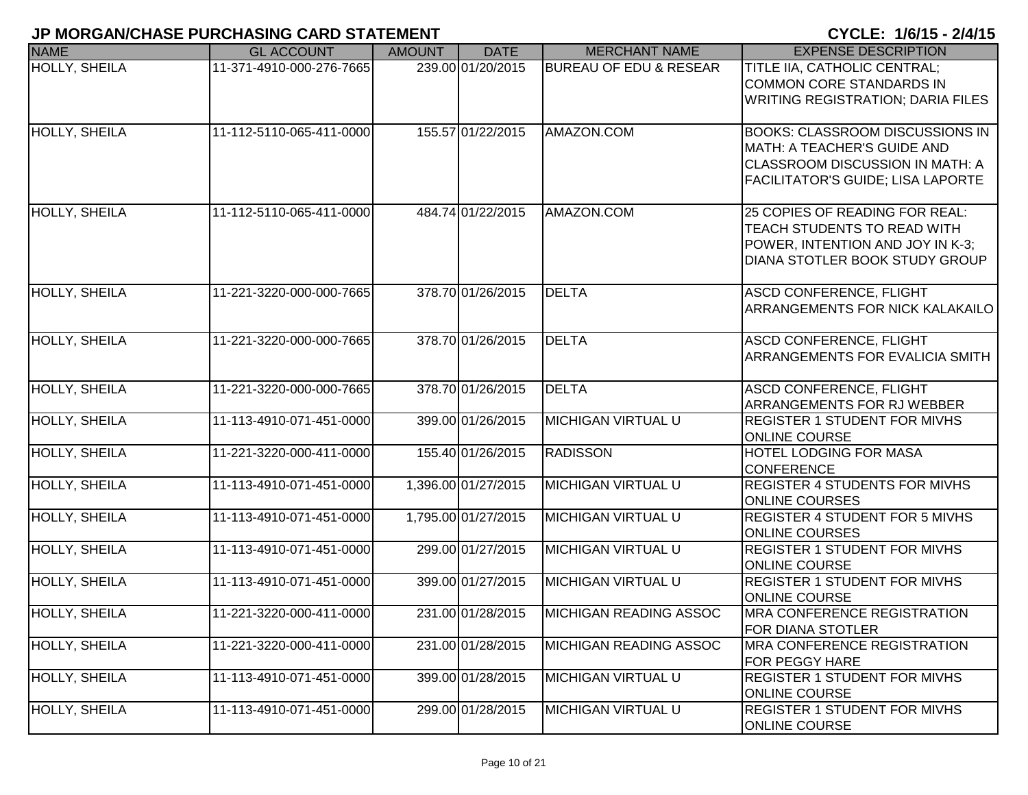| <b>NAME</b>          | <b>GL ACCOUNT</b>        | <b>AMOUNT</b> | <b>DATE</b>         | <b>MERCHANT NAME</b>              | <b>EXPENSE DESCRIPTION</b>                                                                                                                                         |
|----------------------|--------------------------|---------------|---------------------|-----------------------------------|--------------------------------------------------------------------------------------------------------------------------------------------------------------------|
| <b>HOLLY, SHEILA</b> | 11-371-4910-000-276-7665 |               | 239.00 01/20/2015   | <b>BUREAU OF EDU &amp; RESEAR</b> | TITLE IIA, CATHOLIC CENTRAL;<br><b>COMMON CORE STANDARDS IN</b><br><b>WRITING REGISTRATION; DARIA FILES</b>                                                        |
| <b>HOLLY, SHEILA</b> | 11-112-5110-065-411-0000 |               | 155.57 01/22/2015   | AMAZON.COM                        | <b>BOOKS: CLASSROOM DISCUSSIONS IN</b><br><b>MATH: A TEACHER'S GUIDE AND</b><br><b>CLASSROOM DISCUSSION IN MATH: A</b><br><b>FACILITATOR'S GUIDE; LISA LAPORTE</b> |
| <b>HOLLY, SHEILA</b> | 11-112-5110-065-411-0000 |               | 484.74 01/22/2015   | AMAZON.COM                        | 25 COPIES OF READING FOR REAL:<br>TEACH STUDENTS TO READ WITH<br>POWER, INTENTION AND JOY IN K-3;<br>DIANA STOTLER BOOK STUDY GROUP                                |
| <b>HOLLY, SHEILA</b> | 11-221-3220-000-000-7665 |               | 378.70 01/26/2015   | <b>DELTA</b>                      | <b>ASCD CONFERENCE, FLIGHT</b><br>ARRANGEMENTS FOR NICK KALAKAILO                                                                                                  |
| <b>HOLLY, SHEILA</b> | 11-221-3220-000-000-7665 |               | 378.70 01/26/2015   | <b>DELTA</b>                      | <b>ASCD CONFERENCE, FLIGHT</b><br>ARRANGEMENTS FOR EVALICIA SMITH                                                                                                  |
| <b>HOLLY, SHEILA</b> | 11-221-3220-000-000-7665 |               | 378.70 01/26/2015   | <b>DELTA</b>                      | ASCD CONFERENCE, FLIGHT<br>ARRANGEMENTS FOR RJ WEBBER                                                                                                              |
| <b>HOLLY, SHEILA</b> | 11-113-4910-071-451-0000 |               | 399.00 01/26/2015   | <b>MICHIGAN VIRTUAL U</b>         | <b>REGISTER 1 STUDENT FOR MIVHS</b><br><b>ONLINE COURSE</b>                                                                                                        |
| <b>HOLLY, SHEILA</b> | 11-221-3220-000-411-0000 |               | 155.40 01/26/2015   | <b>RADISSON</b>                   | <b>HOTEL LODGING FOR MASA</b><br><b>CONFERENCE</b>                                                                                                                 |
| <b>HOLLY, SHEILA</b> | 11-113-4910-071-451-0000 |               | 1,396.00 01/27/2015 | <b>MICHIGAN VIRTUAL U</b>         | <b>REGISTER 4 STUDENTS FOR MIVHS</b><br><b>ONLINE COURSES</b>                                                                                                      |
| <b>HOLLY, SHEILA</b> | 11-113-4910-071-451-0000 |               | 1,795.00 01/27/2015 | <b>MICHIGAN VIRTUAL U</b>         | <b>REGISTER 4 STUDENT FOR 5 MIVHS</b><br><b>ONLINE COURSES</b>                                                                                                     |
| <b>HOLLY, SHEILA</b> | 11-113-4910-071-451-0000 |               | 299.00 01/27/2015   | <b>MICHIGAN VIRTUAL U</b>         | <b>REGISTER 1 STUDENT FOR MIVHS</b><br><b>ONLINE COURSE</b>                                                                                                        |
| <b>HOLLY, SHEILA</b> | 11-113-4910-071-451-0000 |               | 399.00 01/27/2015   | <b>MICHIGAN VIRTUAL U</b>         | <b>REGISTER 1 STUDENT FOR MIVHS</b><br><b>ONLINE COURSE</b>                                                                                                        |
| <b>HOLLY, SHEILA</b> | 11-221-3220-000-411-0000 |               | 231.00 01/28/2015   | MICHIGAN READING ASSOC            | <b>MRA CONFERENCE REGISTRATION</b><br><b>FOR DIANA STOTLER</b>                                                                                                     |
| <b>HOLLY, SHEILA</b> | 11-221-3220-000-411-0000 |               | 231.00 01/28/2015   | <b>MICHIGAN READING ASSOC</b>     | <b>MRA CONFERENCE REGISTRATION</b><br><b>FOR PEGGY HARE</b>                                                                                                        |
| <b>HOLLY, SHEILA</b> | 11-113-4910-071-451-0000 |               | 399.00 01/28/2015   | <b>MICHIGAN VIRTUAL U</b>         | <b>REGISTER 1 STUDENT FOR MIVHS</b><br><b>ONLINE COURSE</b>                                                                                                        |
| HOLLY, SHEILA        | 11-113-4910-071-451-0000 |               | 299.00 01/28/2015   | MICHIGAN VIRTUAL U                | <b>REGISTER 1 STUDENT FOR MIVHS</b><br><b>ONLINE COURSE</b>                                                                                                        |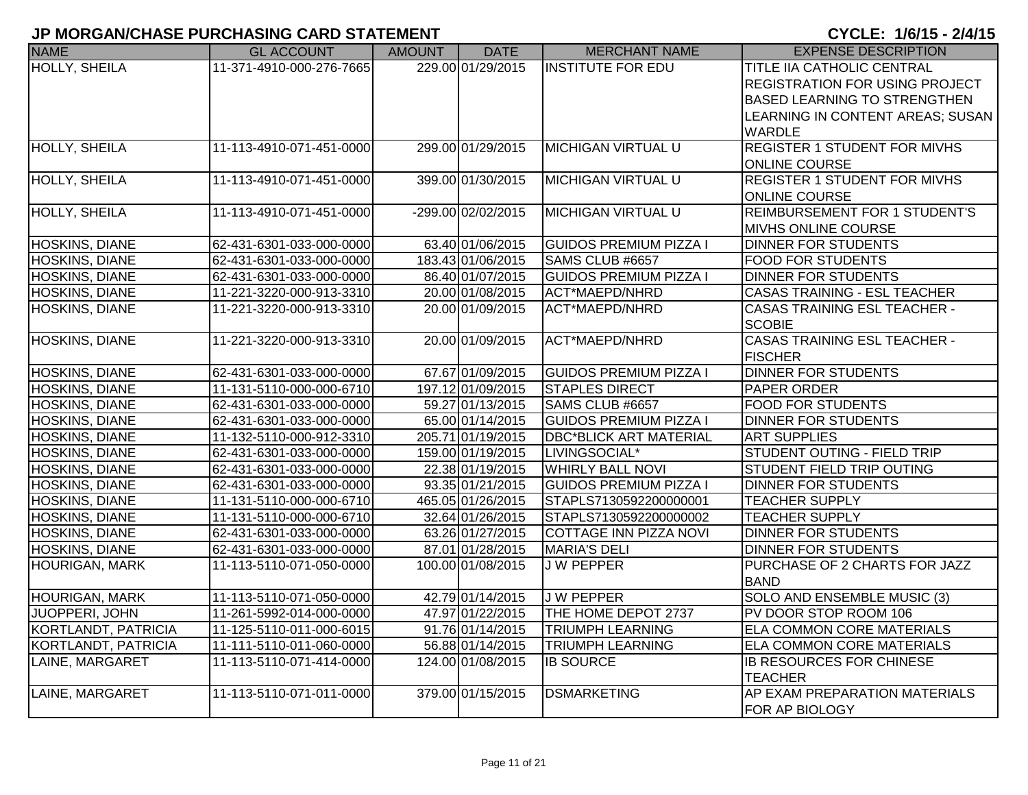| <b>NAME</b>           | <b>GL ACCOUNT</b>        | AMOUNT | <b>DATE</b>          | <b>MERCHANT NAME</b>          | <b>EXPENSE DESCRIPTION</b>            |
|-----------------------|--------------------------|--------|----------------------|-------------------------------|---------------------------------------|
| <b>HOLLY, SHEILA</b>  | 11-371-4910-000-276-7665 |        | 229.00 01/29/2015    | <b>INSTITUTE FOR EDU</b>      | <b>TITLE IIA CATHOLIC CENTRAL</b>     |
|                       |                          |        |                      |                               | <b>REGISTRATION FOR USING PROJECT</b> |
|                       |                          |        |                      |                               | <b>BASED LEARNING TO STRENGTHEN</b>   |
|                       |                          |        |                      |                               | LEARNING IN CONTENT AREAS; SUSAN      |
|                       |                          |        |                      |                               | <b>WARDLE</b>                         |
| <b>HOLLY, SHEILA</b>  | 11-113-4910-071-451-0000 |        | 299.00 01/29/2015    | <b>MICHIGAN VIRTUAL U</b>     | <b>REGISTER 1 STUDENT FOR MIVHS</b>   |
|                       |                          |        |                      |                               | <b>ONLINE COURSE</b>                  |
| HOLLY, SHEILA         | 11-113-4910-071-451-0000 |        | 399.00 01/30/2015    | <b>MICHIGAN VIRTUAL U</b>     | <b>REGISTER 1 STUDENT FOR MIVHS</b>   |
|                       |                          |        |                      |                               | <b>ONLINE COURSE</b>                  |
| HOLLY, SHEILA         | 11-113-4910-071-451-0000 |        | $-299.00$ 02/02/2015 | <b>MICHIGAN VIRTUAL U</b>     | <b>REIMBURSEMENT FOR 1 STUDENT'S</b>  |
|                       |                          |        |                      |                               | <b>MIVHS ONLINE COURSE</b>            |
| HOSKINS, DIANE        | 62-431-6301-033-000-0000 |        | 63.40 01/06/2015     | <b>GUIDOS PREMIUM PIZZA I</b> | <b>DINNER FOR STUDENTS</b>            |
| HOSKINS, DIANE        | 62-431-6301-033-000-0000 |        | 183.43 01/06/2015    | SAMS CLUB #6657               | <b>FOOD FOR STUDENTS</b>              |
| HOSKINS, DIANE        | 62-431-6301-033-000-0000 |        | 86.40 01/07/2015     | <b>GUIDOS PREMIUM PIZZA I</b> | <b>DINNER FOR STUDENTS</b>            |
| HOSKINS, DIANE        | 11-221-3220-000-913-3310 |        | 20.00 01/08/2015     | ACT*MAEPD/NHRD                | CASAS TRAINING - ESL TEACHER          |
| HOSKINS, DIANE        | 11-221-3220-000-913-3310 |        | 20.00 01/09/2015     | <b>ACT*MAEPD/NHRD</b>         | <b>CASAS TRAINING ESL TEACHER -</b>   |
|                       |                          |        |                      |                               | <b>SCOBIE</b>                         |
| <b>HOSKINS, DIANE</b> | 11-221-3220-000-913-3310 |        | 20.00 01/09/2015     | <b>ACT*MAEPD/NHRD</b>         | <b>CASAS TRAINING ESL TEACHER -</b>   |
|                       |                          |        |                      |                               | <b>FISCHER</b>                        |
| <b>HOSKINS, DIANE</b> | 62-431-6301-033-000-0000 |        | 67.67 01/09/2015     | <b>GUIDOS PREMIUM PIZZA I</b> | <b>DINNER FOR STUDENTS</b>            |
| <b>HOSKINS, DIANE</b> | 11-131-5110-000-000-6710 |        | 197.12 01/09/2015    | <b>STAPLES DIRECT</b>         | <b>PAPER ORDER</b>                    |
| <b>HOSKINS, DIANE</b> | 62-431-6301-033-000-0000 |        | 59.27 01/13/2015     | SAMS CLUB #6657               | <b>FOOD FOR STUDENTS</b>              |
| HOSKINS, DIANE        | 62-431-6301-033-000-0000 |        | 65.00 01/14/2015     | <b>GUIDOS PREMIUM PIZZA I</b> | <b>DINNER FOR STUDENTS</b>            |
| HOSKINS, DIANE        | 11-132-5110-000-912-3310 |        | 205.71 01/19/2015    | <b>DBC*BLICK ART MATERIAL</b> | <b>ART SUPPLIES</b>                   |
| <b>HOSKINS, DIANE</b> | 62-431-6301-033-000-0000 |        | 159.00 01/19/2015    | LIVINGSOCIAL*                 | STUDENT OUTING - FIELD TRIP           |
| <b>HOSKINS, DIANE</b> | 62-431-6301-033-000-0000 |        | 22.38 01/19/2015     | <b>WHIRLY BALL NOVI</b>       | STUDENT FIELD TRIP OUTING             |
| HOSKINS, DIANE        | 62-431-6301-033-000-0000 |        | 93.35 01/21/2015     | <b>GUIDOS PREMIUM PIZZA I</b> | <b>DINNER FOR STUDENTS</b>            |
| <b>HOSKINS, DIANE</b> | 11-131-5110-000-000-6710 |        | 465.05 01/26/2015    | STAPLS7130592200000001        | <b>TEACHER SUPPLY</b>                 |
| HOSKINS, DIANE        | 11-131-5110-000-000-6710 |        | 32.64 01/26/2015     | STAPLS7130592200000002        | <b>TEACHER SUPPLY</b>                 |
| <b>HOSKINS, DIANE</b> | 62-431-6301-033-000-0000 |        | 63.26 01/27/2015     | COTTAGE INN PIZZA NOVI        | <b>DINNER FOR STUDENTS</b>            |
| <b>HOSKINS, DIANE</b> | 62-431-6301-033-000-0000 |        | 87.01 01/28/2015     | <b>MARIA'S DELI</b>           | <b>DINNER FOR STUDENTS</b>            |
| <b>HOURIGAN, MARK</b> | 11-113-5110-071-050-0000 |        | 100.00 01/08/2015    | <b>JW PEPPER</b>              | PURCHASE OF 2 CHARTS FOR JAZZ         |
|                       |                          |        |                      |                               | <b>BAND</b>                           |
| <b>HOURIGAN, MARK</b> | 11-113-5110-071-050-0000 |        | 42.79 01/14/2015     | <b>JW PEPPER</b>              | SOLO AND ENSEMBLE MUSIC (3)           |
| JUOPPERI, JOHN        | 11-261-5992-014-000-0000 |        | 47.97 01/22/2015     | THE HOME DEPOT 2737           | PV DOOR STOP ROOM 106                 |
| KORTLANDT, PATRICIA   | 11-125-5110-011-000-6015 |        | 91.76 01/14/2015     | <b>TRIUMPH LEARNING</b>       | <b>ELA COMMON CORE MATERIALS</b>      |
| KORTLANDT, PATRICIA   | 11-111-5110-011-060-0000 |        | 56.88 01/14/2015     | TRIUMPH LEARNING              | ELA COMMON CORE MATERIALS             |
| LAINE, MARGARET       | 11-113-5110-071-414-0000 |        | 124.00 01/08/2015    | <b>IB SOURCE</b>              | <b>IB RESOURCES FOR CHINESE</b>       |
|                       |                          |        |                      |                               | <b>TEACHER</b>                        |
| LAINE, MARGARET       | 11-113-5110-071-011-0000 |        | 379.00 01/15/2015    | <b>DSMARKETING</b>            | AP EXAM PREPARATION MATERIALS         |
|                       |                          |        |                      |                               | <b>IFOR AP BIOLOGY</b>                |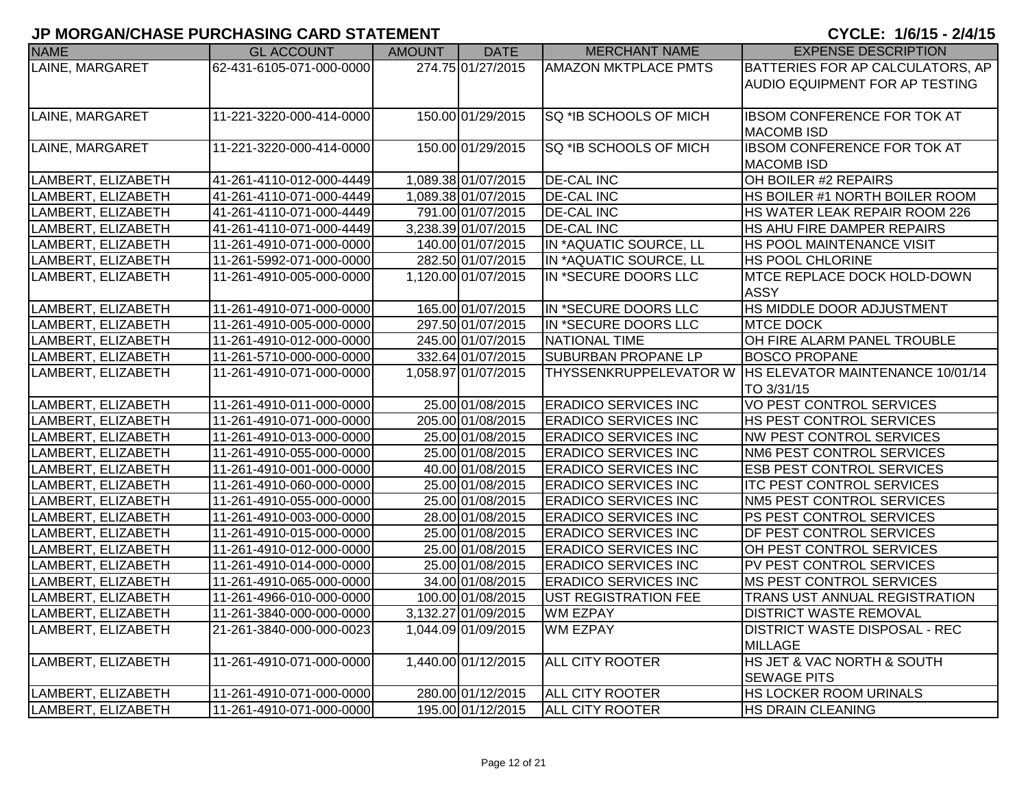| <b>NAME</b>        | <b>GL ACCOUNT</b>        | <b>AMOUNT</b> | <b>DATE</b>         | <b>MERCHANT NAME</b>                                       | <b>EXPENSE DESCRIPTION</b>                                |
|--------------------|--------------------------|---------------|---------------------|------------------------------------------------------------|-----------------------------------------------------------|
| LAINE, MARGARET    | 62-431-6105-071-000-0000 |               | 274.75 01/27/2015   | <b>AMAZON MKTPLACE PMTS</b>                                | BATTERIES FOR AP CALCULATORS, AP                          |
|                    |                          |               |                     |                                                            | AUDIO EQUIPMENT FOR AP TESTING                            |
|                    |                          |               |                     |                                                            |                                                           |
| LAINE, MARGARET    | 11-221-3220-000-414-0000 |               | 150.00 01/29/2015   | SQ *IB SCHOOLS OF MICH                                     | <b>IBSOM CONFERENCE FOR TOK AT</b>                        |
|                    |                          |               |                     |                                                            | <b>MACOMB ISD</b>                                         |
| LAINE, MARGARET    | 11-221-3220-000-414-0000 |               | 150.00 01/29/2015   | SQ *IB SCHOOLS OF MICH                                     | <b>IBSOM CONFERENCE FOR TOK AT</b>                        |
|                    |                          |               |                     |                                                            | <b>MACOMB ISD</b>                                         |
| LAMBERT, ELIZABETH | 41-261-4110-012-000-4449 |               | 1,089.38 01/07/2015 | <b>DE-CAL INC</b>                                          | OH BOILER #2 REPAIRS                                      |
| LAMBERT, ELIZABETH | 41-261-4110-071-000-4449 |               | 1,089.38 01/07/2015 | <b>DE-CAL INC</b>                                          | HS BOILER #1 NORTH BOILER ROOM                            |
| LAMBERT, ELIZABETH | 41-261-4110-071-000-4449 |               | 791.00 01/07/2015   | <b>DE-CAL INC</b>                                          | HS WATER LEAK REPAIR ROOM 226                             |
| LAMBERT, ELIZABETH | 41-261-4110-071-000-4449 |               | 3,238.39 01/07/2015 | <b>DE-CAL INC</b>                                          | HS AHU FIRE DAMPER REPAIRS                                |
| LAMBERT, ELIZABETH | 11-261-4910-071-000-0000 |               | 140.00 01/07/2015   | IN *AQUATIC SOURCE, LL                                     | HS POOL MAINTENANCE VISIT                                 |
| LAMBERT, ELIZABETH | 11-261-5992-071-000-0000 |               | 282.50 01/07/2015   | IN *AQUATIC SOURCE, LL                                     | <b>HS POOL CHLORINE</b>                                   |
| LAMBERT, ELIZABETH | 11-261-4910-005-000-0000 |               | 1,120.00 01/07/2015 | IN *SECURE DOORS LLC                                       | MTCE REPLACE DOCK HOLD-DOWN                               |
| LAMBERT, ELIZABETH | 11-261-4910-071-000-0000 |               | 165.00 01/07/2015   | IN *SECURE DOORS LLC                                       | <b>ASSY</b><br>HS MIDDLE DOOR ADJUSTMENT                  |
| LAMBERT, ELIZABETH | 11-261-4910-005-000-0000 |               | 297.50 01/07/2015   | IN *SECURE DOORS LLC                                       | <b>MTCE DOCK</b>                                          |
| LAMBERT, ELIZABETH | 11-261-4910-012-000-0000 |               | 245.00 01/07/2015   | <b>NATIONAL TIME</b>                                       | OH FIRE ALARM PANEL TROUBLE                               |
| LAMBERT, ELIZABETH | 11-261-5710-000-000-0000 |               | 332.64 01/07/2015   | <b>SUBURBAN PROPANE LP</b>                                 | <b>BOSCO PROPANE</b>                                      |
| LAMBERT, ELIZABETH | 11-261-4910-071-000-0000 |               | 1,058.97 01/07/2015 |                                                            | THYSSENKRUPPELEVATOR W   HS ELEVATOR MAINTENANCE 10/01/14 |
|                    |                          |               |                     |                                                            | TO 3/31/15                                                |
| LAMBERT, ELIZABETH | 11-261-4910-011-000-0000 |               | 25.00 01/08/2015    | <b>ERADICO SERVICES INC</b>                                | VO PEST CONTROL SERVICES                                  |
| LAMBERT, ELIZABETH | 11-261-4910-071-000-0000 |               | 205.00 01/08/2015   | <b>ERADICO SERVICES INC</b>                                | HS PEST CONTROL SERVICES                                  |
| LAMBERT, ELIZABETH | 11-261-4910-013-000-0000 |               | 25.00 01/08/2015    | <b>ERADICO SERVICES INC</b>                                | <b>NW PEST CONTROL SERVICES</b>                           |
| LAMBERT, ELIZABETH | 11-261-4910-055-000-0000 |               | 25.00 01/08/2015    | <b>ERADICO SERVICES INC</b>                                | NM6 PEST CONTROL SERVICES                                 |
| LAMBERT, ELIZABETH | 11-261-4910-001-000-0000 |               | 40.00 01/08/2015    | <b>ERADICO SERVICES INC</b>                                | <b>ESB PEST CONTROL SERVICES</b>                          |
| LAMBERT, ELIZABETH | 11-261-4910-060-000-0000 |               | 25.00 01/08/2015    | <b>ERADICO SERVICES INC</b>                                | <b>ITC PEST CONTROL SERVICES</b>                          |
| LAMBERT, ELIZABETH | 11-261-4910-055-000-0000 |               | 25.00 01/08/2015    | <b>ERADICO SERVICES INC</b>                                | NM5 PEST CONTROL SERVICES                                 |
| LAMBERT, ELIZABETH | 11-261-4910-003-000-0000 |               | 28.00 01/08/2015    | <b>ERADICO SERVICES INC</b>                                | PS PEST CONTROL SERVICES                                  |
| LAMBERT, ELIZABETH | 11-261-4910-015-000-0000 |               | 25.00 01/08/2015    | <b>ERADICO SERVICES INC</b>                                | DF PEST CONTROL SERVICES                                  |
| LAMBERT, ELIZABETH | 11-261-4910-012-000-0000 |               | 25.00 01/08/2015    | <b>ERADICO SERVICES INC</b>                                | OH PEST CONTROL SERVICES                                  |
| LAMBERT, ELIZABETH | 11-261-4910-014-000-0000 |               | 25.00 01/08/2015    | <b>ERADICO SERVICES INC</b>                                | PV PEST CONTROL SERVICES                                  |
| LAMBERT, ELIZABETH | 11-261-4910-065-000-0000 |               | 34.00 01/08/2015    |                                                            | MS PEST CONTROL SERVICES                                  |
|                    |                          |               |                     | <b>ERADICO SERVICES INC</b><br><b>UST REGISTRATION FEE</b> |                                                           |
| LAMBERT, ELIZABETH | 11-261-4966-010-000-0000 |               | 100.00 01/08/2015   |                                                            | TRANS UST ANNUAL REGISTRATION                             |
| LAMBERT, ELIZABETH | 11-261-3840-000-000-0000 |               | 3,132.27 01/09/2015 | <b>WM EZPAY</b>                                            | <b>DISTRICT WASTE REMOVAL</b>                             |
| LAMBERT, ELIZABETH | 21-261-3840-000-000-0023 |               | 1,044.09 01/09/2015 | <b>WM EZPAY</b>                                            | <b>DISTRICT WASTE DISPOSAL - REC</b>                      |
|                    |                          |               |                     |                                                            | <b>MILLAGE</b>                                            |
| LAMBERT, ELIZABETH | 11-261-4910-071-000-0000 |               | 1,440.00 01/12/2015 | ALL CITY ROOTER                                            | HS JET & VAC NORTH & SOUTH                                |
|                    |                          |               |                     |                                                            | <b>SEWAGE PITS</b>                                        |
| LAMBERT, ELIZABETH | 11-261-4910-071-000-0000 |               | 280.00 01/12/2015   | <b>ALL CITY ROOTER</b>                                     | HS LOCKER ROOM URINALS                                    |
| LAMBERT, ELIZABETH | 11-261-4910-071-000-0000 |               | 195.00 01/12/2015   | <b>ALL CITY ROOTER</b>                                     | <b>HS DRAIN CLEANING</b>                                  |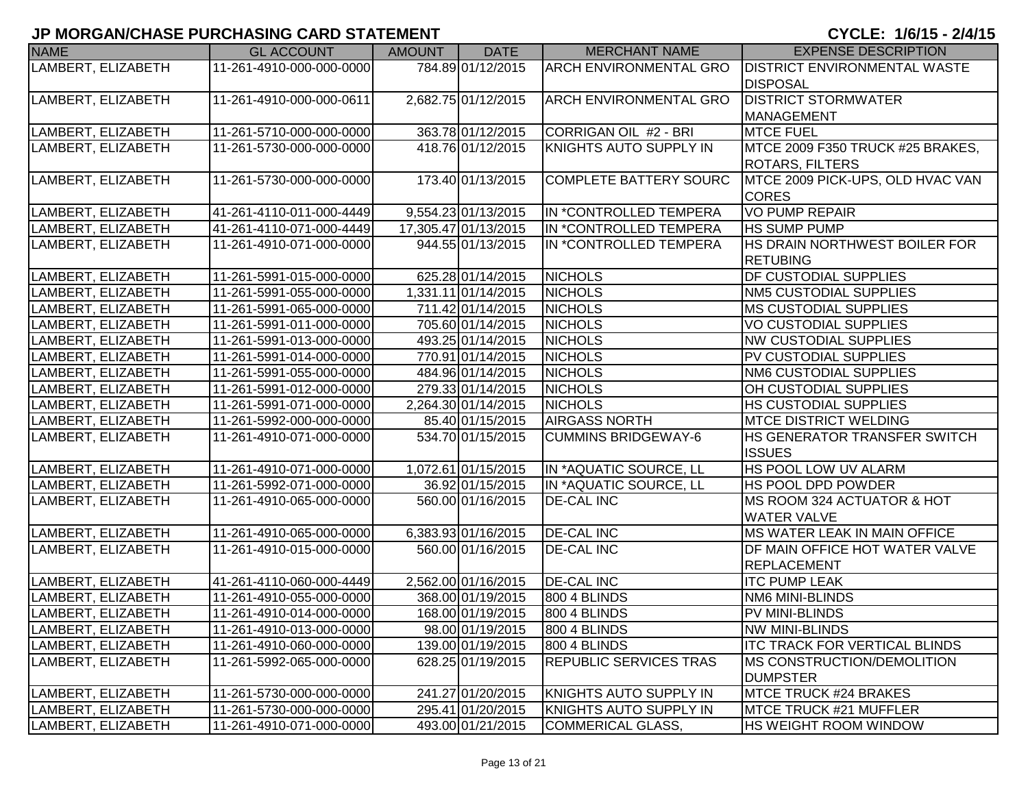| <b>NAME</b>        | <b>GL ACCOUNT</b>        | <b>AMOUNT</b> | <b>DATE</b>          | <b>MERCHANT NAME</b>          | <b>EXPENSE DESCRIPTION</b>            |
|--------------------|--------------------------|---------------|----------------------|-------------------------------|---------------------------------------|
| LAMBERT, ELIZABETH | 11-261-4910-000-000-0000 |               | 784.89 01/12/2015    | <b>ARCH ENVIRONMENTAL GRO</b> | <b>DISTRICT ENVIRONMENTAL WASTE</b>   |
|                    |                          |               |                      |                               | <b>DISPOSAL</b>                       |
| LAMBERT, ELIZABETH | 11-261-4910-000-000-0611 |               | 2,682.75 01/12/2015  | <b>ARCH ENVIRONMENTAL GRO</b> | <b>DISTRICT STORMWATER</b>            |
|                    |                          |               |                      |                               | MANAGEMENT                            |
| LAMBERT, ELIZABETH | 11-261-5710-000-000-0000 |               | 363.78 01/12/2015    | CORRIGAN OIL #2 - BRI         | <b>MTCE FUEL</b>                      |
| LAMBERT, ELIZABETH | 11-261-5730-000-000-0000 |               | 418.76 01/12/2015    | KNIGHTS AUTO SUPPLY IN        | MTCE 2009 F350 TRUCK #25 BRAKES,      |
|                    |                          |               |                      |                               | <b>ROTARS, FILTERS</b>                |
| LAMBERT, ELIZABETH | 11-261-5730-000-000-0000 |               | 173.40 01/13/2015    | <b>COMPLETE BATTERY SOURC</b> | MTCE 2009 PICK-UPS, OLD HVAC VAN      |
|                    |                          |               |                      |                               | <b>CORES</b>                          |
| LAMBERT, ELIZABETH | 41-261-4110-011-000-4449 |               | 9,554.23 01/13/2015  | IN *CONTROLLED TEMPERA        | <b>VO PUMP REPAIR</b>                 |
| LAMBERT, ELIZABETH | 41-261-4110-071-000-4449 |               | 17,305.47 01/13/2015 | IN *CONTROLLED TEMPERA        | <b>HS SUMP PUMP</b>                   |
| LAMBERT, ELIZABETH | 11-261-4910-071-000-0000 |               | 944.55 01/13/2015    | IN *CONTROLLED TEMPERA        | HS DRAIN NORTHWEST BOILER FOR         |
|                    |                          |               |                      |                               | <b>RETUBING</b>                       |
| LAMBERT, ELIZABETH | 11-261-5991-015-000-0000 |               | 625.28 01/14/2015    | <b>NICHOLS</b>                | <b>DF CUSTODIAL SUPPLIES</b>          |
| LAMBERT, ELIZABETH | 11-261-5991-055-000-0000 |               | 1,331.11 01/14/2015  | <b>NICHOLS</b>                | <b>NM5 CUSTODIAL SUPPLIES</b>         |
| LAMBERT, ELIZABETH | 11-261-5991-065-000-0000 |               | 711.42 01/14/2015    | <b>NICHOLS</b>                | <b>IMS CUSTODIAL SUPPLIES</b>         |
| LAMBERT, ELIZABETH | 11-261-5991-011-000-0000 |               | 705.60 01/14/2015    | <b>NICHOLS</b>                | <b>VO CUSTODIAL SUPPLIES</b>          |
| LAMBERT, ELIZABETH | 11-261-5991-013-000-0000 |               | 493.25 01/14/2015    | <b>NICHOLS</b>                | <b>NW CUSTODIAL SUPPLIES</b>          |
| LAMBERT, ELIZABETH | 11-261-5991-014-000-0000 |               | 770.91 01/14/2015    | <b>NICHOLS</b>                | <b>PV CUSTODIAL SUPPLIES</b>          |
| LAMBERT, ELIZABETH | 11-261-5991-055-000-0000 |               | 484.96 01/14/2015    | <b>NICHOLS</b>                | <b>NM6 CUSTODIAL SUPPLIES</b>         |
| LAMBERT, ELIZABETH | 11-261-5991-012-000-0000 |               | 279.33 01/14/2015    | <b>NICHOLS</b>                | OH CUSTODIAL SUPPLIES                 |
| LAMBERT, ELIZABETH | 11-261-5991-071-000-0000 |               | 2,264.30 01/14/2015  | <b>NICHOLS</b>                | <b>HS CUSTODIAL SUPPLIES</b>          |
| LAMBERT, ELIZABETH | 11-261-5992-000-000-0000 |               | 85.40 01/15/2015     | <b>AIRGASS NORTH</b>          | <b>MTCE DISTRICT WELDING</b>          |
| LAMBERT, ELIZABETH | 11-261-4910-071-000-0000 |               | 534.70 01/15/2015    | <b>CUMMINS BRIDGEWAY-6</b>    | <b>HS GENERATOR TRANSFER SWITCH</b>   |
|                    |                          |               |                      |                               | <b>ISSUES</b>                         |
| LAMBERT, ELIZABETH | 11-261-4910-071-000-0000 |               | 1,072.61 01/15/2015  | IN *AQUATIC SOURCE, LL        | HS POOL LOW UV ALARM                  |
| LAMBERT, ELIZABETH | 11-261-5992-071-000-0000 |               | 36.92 01/15/2015     | IN *AQUATIC SOURCE, LL        | <b>HS POOL DPD POWDER</b>             |
| LAMBERT, ELIZABETH | 11-261-4910-065-000-0000 |               | 560.00 01/16/2015    | <b>DE-CAL INC</b>             | MS ROOM 324 ACTUATOR & HOT            |
|                    |                          |               |                      |                               | <b>WATER VALVE</b>                    |
| LAMBERT, ELIZABETH | 11-261-4910-065-000-0000 |               | 6,383.93 01/16/2015  | <b>DE-CAL INC</b>             | <b>MS WATER LEAK IN MAIN OFFICE</b>   |
| LAMBERT, ELIZABETH | 11-261-4910-015-000-0000 |               | 560.00 01/16/2015    | <b>DE-CAL INC</b>             | <b>DF MAIN OFFICE HOT WATER VALVE</b> |
|                    |                          |               |                      |                               | REPLACEMENT                           |
| LAMBERT, ELIZABETH | 41-261-4110-060-000-4449 |               | 2,562.00 01/16/2015  | <b>DE-CAL INC</b>             | <b>ITC PUMP LEAK</b>                  |
| LAMBERT, ELIZABETH | 11-261-4910-055-000-0000 |               | 368.00 01/19/2015    | 800 4 BLINDS                  | NM6 MINI-BLINDS                       |
| LAMBERT, ELIZABETH | 11-261-4910-014-000-0000 |               | 168.00 01/19/2015    | <b>800 4 BLINDS</b>           | PV MINI-BLINDS                        |
| LAMBERT, ELIZABETH | 11-261-4910-013-000-0000 |               | 98.00 01/19/2015     | 800 4 BLINDS                  | <b>NW MINI-BLINDS</b>                 |
| LAMBERT, ELIZABETH | 11-261-4910-060-000-0000 |               | 139.00 01/19/2015    | <b>800 4 BLINDS</b>           | <b>ITC TRACK FOR VERTICAL BLINDS</b>  |
| LAMBERT, ELIZABETH | 11-261-5992-065-000-0000 |               | 628.25 01/19/2015    | <b>REPUBLIC SERVICES TRAS</b> | <b>IMS CONSTRUCTION/DEMOLITION</b>    |
|                    |                          |               |                      |                               | <b>DUMPSTER</b>                       |
| LAMBERT, ELIZABETH | 11-261-5730-000-000-0000 |               | 241.27 01/20/2015    | KNIGHTS AUTO SUPPLY IN        | <b>MTCE TRUCK #24 BRAKES</b>          |
| LAMBERT, ELIZABETH | 11-261-5730-000-000-0000 |               | 295.41 01/20/2015    | KNIGHTS AUTO SUPPLY IN        | MTCE TRUCK #21 MUFFLER                |
| LAMBERT, ELIZABETH | 11-261-4910-071-000-0000 |               | 493.00 01/21/2015    | <b>COMMERICAL GLASS,</b>      | <b>HS WEIGHT ROOM WINDOW</b>          |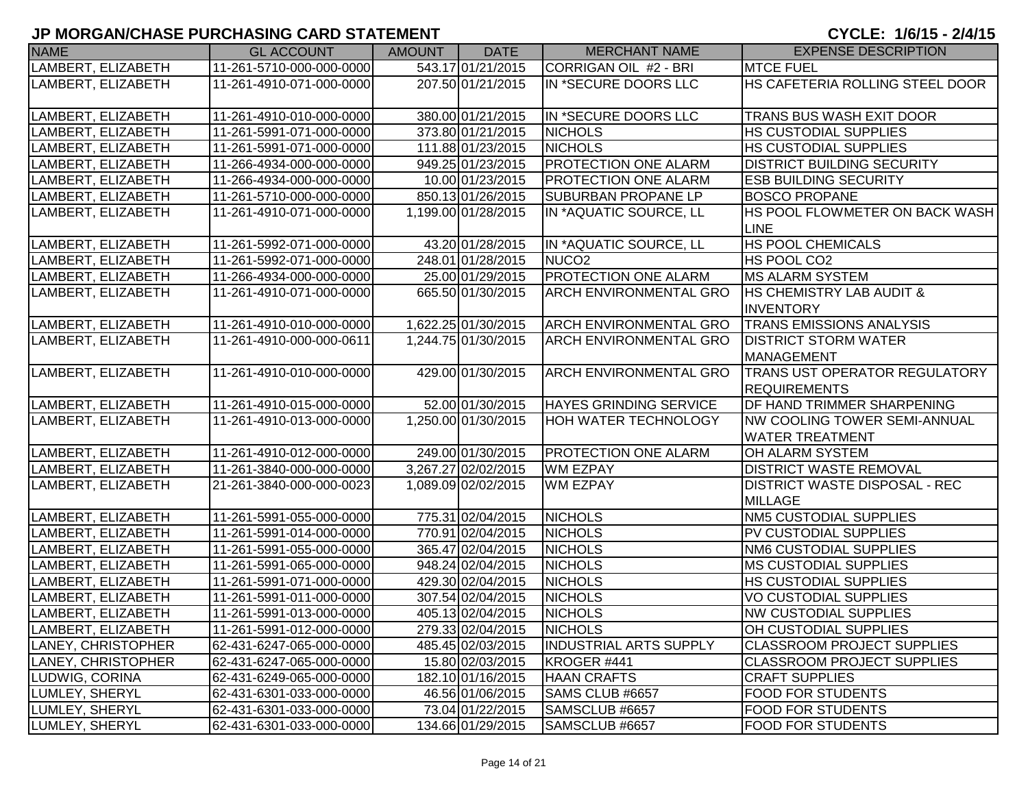| <b>NAME</b>        | <b>GL ACCOUNT</b>        | <b>AMOUNT</b> | <b>DATE</b>         | <b>MERCHANT NAME</b>          | <b>EXPENSE DESCRIPTION</b>                                    |
|--------------------|--------------------------|---------------|---------------------|-------------------------------|---------------------------------------------------------------|
| LAMBERT, ELIZABETH | 11-261-5710-000-000-0000 |               | 543.17 01/21/2015   | CORRIGAN OIL #2 - BRI         | <b>MTCE FUEL</b>                                              |
| LAMBERT, ELIZABETH | 11-261-4910-071-000-0000 |               | 207.50 01/21/2015   | IN *SECURE DOORS LLC          | HS CAFETERIA ROLLING STEEL DOOR                               |
| LAMBERT, ELIZABETH | 11-261-4910-010-000-0000 |               | 380.00 01/21/2015   | IN *SECURE DOORS LLC          | TRANS BUS WASH EXIT DOOR                                      |
| LAMBERT, ELIZABETH | 11-261-5991-071-000-0000 |               | 373.80 01/21/2015   | <b>NICHOLS</b>                | <b>HS CUSTODIAL SUPPLIES</b>                                  |
| LAMBERT, ELIZABETH | 11-261-5991-071-000-0000 |               | 111.88 01/23/2015   | <b>NICHOLS</b>                | <b>HS CUSTODIAL SUPPLIES</b>                                  |
| LAMBERT, ELIZABETH | 11-266-4934-000-000-0000 |               | 949.25 01/23/2015   | <b>PROTECTION ONE ALARM</b>   | <b>DISTRICT BUILDING SECURITY</b>                             |
| LAMBERT, ELIZABETH | 11-266-4934-000-000-0000 |               | 10.00 01/23/2015    | PROTECTION ONE ALARM          | <b>ESB BUILDING SECURITY</b>                                  |
| LAMBERT, ELIZABETH | 11-261-5710-000-000-0000 |               | 850.13 01/26/2015   | <b>SUBURBAN PROPANE LP</b>    | <b>BOSCO PROPANE</b>                                          |
| LAMBERT, ELIZABETH | 11-261-4910-071-000-0000 |               | 1,199.00 01/28/2015 | IN *AQUATIC SOURCE, LL        | HS POOL FLOWMETER ON BACK WASH<br><b>LINE</b>                 |
| LAMBERT, ELIZABETH | 11-261-5992-071-000-0000 |               | 43.20 01/28/2015    | IN *AQUATIC SOURCE, LL        | <b>HS POOL CHEMICALS</b>                                      |
| LAMBERT, ELIZABETH | 11-261-5992-071-000-0000 |               | 248.01 01/28/2015   | NUCO <sub>2</sub>             | HS POOL CO2                                                   |
| LAMBERT, ELIZABETH | 11-266-4934-000-000-0000 |               | 25.00 01/29/2015    | PROTECTION ONE ALARM          | <b>MS ALARM SYSTEM</b>                                        |
| LAMBERT, ELIZABETH | 11-261-4910-071-000-0000 |               | 665.50 01/30/2015   | <b>ARCH ENVIRONMENTAL GRO</b> | <b>HS CHEMISTRY LAB AUDIT &amp;</b><br><b>INVENTORY</b>       |
| LAMBERT, ELIZABETH | 11-261-4910-010-000-0000 |               | 1,622.25 01/30/2015 | ARCH ENVIRONMENTAL GRO        | <b>TRANS EMISSIONS ANALYSIS</b>                               |
| LAMBERT, ELIZABETH | 11-261-4910-000-000-0611 |               | 1,244.75 01/30/2015 | <b>ARCH ENVIRONMENTAL GRO</b> | <b>DISTRICT STORM WATER</b><br><b>MANAGEMENT</b>              |
| LAMBERT, ELIZABETH | 11-261-4910-010-000-0000 |               | 429.00 01/30/2015   | <b>ARCH ENVIRONMENTAL GRO</b> | <b>TRANS UST OPERATOR REGULATORY</b><br><b>REQUIREMENTS</b>   |
| LAMBERT, ELIZABETH | 11-261-4910-015-000-0000 |               | 52.00 01/30/2015    | <b>HAYES GRINDING SERVICE</b> | DF HAND TRIMMER SHARPENING                                    |
| LAMBERT, ELIZABETH | 11-261-4910-013-000-0000 |               | 1,250.00 01/30/2015 | <b>HOH WATER TECHNOLOGY</b>   | <b>NW COOLING TOWER SEMI-ANNUAL</b><br><b>WATER TREATMENT</b> |
| LAMBERT, ELIZABETH | 11-261-4910-012-000-0000 |               | 249.00 01/30/2015   | <b>PROTECTION ONE ALARM</b>   | OH ALARM SYSTEM                                               |
| LAMBERT, ELIZABETH | 11-261-3840-000-000-0000 |               | 3,267.27 02/02/2015 | <b>WM EZPAY</b>               | <b>DISTRICT WASTE REMOVAL</b>                                 |
| LAMBERT, ELIZABETH | 21-261-3840-000-000-0023 |               | 1,089.09 02/02/2015 | <b>WM EZPAY</b>               | <b>DISTRICT WASTE DISPOSAL - REC</b><br><b>MILLAGE</b>        |
| LAMBERT, ELIZABETH | 11-261-5991-055-000-0000 |               | 775.31 02/04/2015   | <b>NICHOLS</b>                | <b>NM5 CUSTODIAL SUPPLIES</b>                                 |
| LAMBERT, ELIZABETH | 11-261-5991-014-000-0000 |               | 770.91 02/04/2015   | <b>NICHOLS</b>                | <b>PV CUSTODIAL SUPPLIES</b>                                  |
| LAMBERT, ELIZABETH | 11-261-5991-055-000-0000 |               | 365.47 02/04/2015   | <b>NICHOLS</b>                | <b>NM6 CUSTODIAL SUPPLIES</b>                                 |
| LAMBERT, ELIZABETH | 11-261-5991-065-000-0000 |               | 948.24 02/04/2015   | <b>NICHOLS</b>                | <b>MS CUSTODIAL SUPPLIES</b>                                  |
| LAMBERT, ELIZABETH | 11-261-5991-071-000-0000 |               | 429.30 02/04/2015   | <b>NICHOLS</b>                | <b>HS CUSTODIAL SUPPLIES</b>                                  |
| LAMBERT, ELIZABETH | 11-261-5991-011-000-0000 |               | 307.54 02/04/2015   | <b>NICHOLS</b>                | <b>VO CUSTODIAL SUPPLIES</b>                                  |
| LAMBERT, ELIZABETH | 11-261-5991-013-000-0000 |               | 405.13 02/04/2015   | <b>NICHOLS</b>                | <b>NW CUSTODIAL SUPPLIES</b>                                  |
| LAMBERT, ELIZABETH | 11-261-5991-012-000-0000 |               | 279.33 02/04/2015   | <b>NICHOLS</b>                | OH CUSTODIAL SUPPLIES                                         |
| LANEY, CHRISTOPHER | 62-431-6247-065-000-0000 |               | 485.45 02/03/2015   | <b>INDUSTRIAL ARTS SUPPLY</b> | <b>CLASSROOM PROJECT SUPPLIES</b>                             |
| LANEY, CHRISTOPHER | 62-431-6247-065-000-0000 |               | 15.80 02/03/2015    | KROGER #441                   | <b>CLASSROOM PROJECT SUPPLIES</b>                             |
| LUDWIG, CORINA     | 62-431-6249-065-000-0000 |               | 182.10 01/16/2015   | <b>HAAN CRAFTS</b>            | <b>CRAFT SUPPLIES</b>                                         |
| LUMLEY, SHERYL     | 62-431-6301-033-000-0000 |               | 46.56 01/06/2015    | SAMS CLUB #6657               | <b>FOOD FOR STUDENTS</b>                                      |
| LUMLEY, SHERYL     | 62-431-6301-033-000-0000 |               | 73.04 01/22/2015    | SAMSCLUB #6657                | <b>FOOD FOR STUDENTS</b>                                      |
| LUMLEY, SHERYL     | 62-431-6301-033-000-0000 |               | 134.66 01/29/2015   | SAMSCLUB #6657                | <b>FOOD FOR STUDENTS</b>                                      |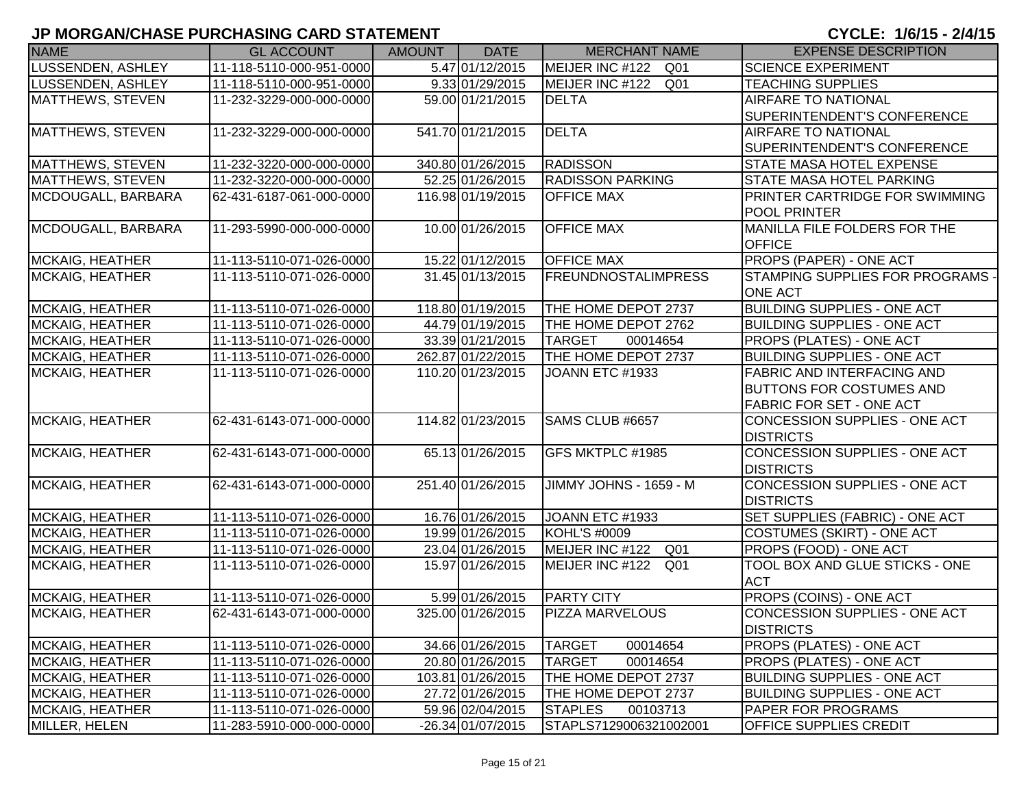| <b>NAME</b>              | <b>GL ACCOUNT</b>        | <b>AMOUNT</b> | <b>DATE</b>       | <b>MERCHANT NAME</b>               | <b>EXPENSE DESCRIPTION</b>            |
|--------------------------|--------------------------|---------------|-------------------|------------------------------------|---------------------------------------|
| <b>LUSSENDEN, ASHLEY</b> | 11-118-5110-000-951-0000 |               | 5.47 01/12/2015   | MEIJER INC #122 Q01                | <b>SCIENCE EXPERIMENT</b>             |
| <b>LUSSENDEN, ASHLEY</b> | 11-118-5110-000-951-0000 |               | 9.33 01/29/2015   | MEIJER INC #122 Q01                | <b>TEACHING SUPPLIES</b>              |
| MATTHEWS, STEVEN         | 11-232-3229-000-000-0000 |               | 59.00 01/21/2015  | <b>DELTA</b>                       | AIRFARE TO NATIONAL                   |
|                          |                          |               |                   |                                    | SUPERINTENDENT'S CONFERENCE           |
| <b>MATTHEWS, STEVEN</b>  | 11-232-3229-000-000-0000 |               | 541.70 01/21/2015 | <b>DELTA</b>                       | AIRFARE TO NATIONAL                   |
|                          |                          |               |                   |                                    | SUPERINTENDENT'S CONFERENCE           |
| MATTHEWS, STEVEN         | 11-232-3220-000-000-0000 |               | 340.80 01/26/2015 | <b>RADISSON</b>                    | <b>STATE MASA HOTEL EXPENSE</b>       |
| MATTHEWS, STEVEN         | 11-232-3220-000-000-0000 |               | 52.25 01/26/2015  | <b>RADISSON PARKING</b>            | <b>STATE MASA HOTEL PARKING</b>       |
| MCDOUGALL, BARBARA       | 62-431-6187-061-000-0000 |               | 116.98 01/19/2015 | <b>OFFICE MAX</b>                  | <b>PRINTER CARTRIDGE FOR SWIMMING</b> |
|                          |                          |               |                   |                                    | <b>POOL PRINTER</b>                   |
| MCDOUGALL, BARBARA       | 11-293-5990-000-000-0000 |               | 10.00 01/26/2015  | <b>OFFICE MAX</b>                  | MANILLA FILE FOLDERS FOR THE          |
|                          |                          |               |                   |                                    | <b>OFFICE</b>                         |
| <b>MCKAIG, HEATHER</b>   | 11-113-5110-071-026-0000 |               | 15.22 01/12/2015  | <b>OFFICE MAX</b>                  | <b>PROPS (PAPER) - ONE ACT</b>        |
| <b>MCKAIG, HEATHER</b>   | 11-113-5110-071-026-0000 |               | 31.45 01/13/2015  | <b>FREUNDNOSTALIMPRESS</b>         | <b>STAMPING SUPPLIES FOR PROGRAMS</b> |
|                          |                          |               |                   |                                    | <b>ONE ACT</b>                        |
| <b>MCKAIG, HEATHER</b>   | 11-113-5110-071-026-0000 |               | 118.80 01/19/2015 | THE HOME DEPOT 2737                | <b>BUILDING SUPPLIES - ONE ACT</b>    |
| <b>MCKAIG, HEATHER</b>   | 11-113-5110-071-026-0000 |               | 44.79 01/19/2015  | THE HOME DEPOT 2762                | <b>BUILDING SUPPLIES - ONE ACT</b>    |
| <b>MCKAIG, HEATHER</b>   | 11-113-5110-071-026-0000 |               | 33.39 01/21/2015  | <b>TARGET</b><br>00014654          | <b>PROPS (PLATES) - ONE ACT</b>       |
| <b>MCKAIG, HEATHER</b>   | 11-113-5110-071-026-0000 |               | 262.87 01/22/2015 | THE HOME DEPOT 2737                | <b>BUILDING SUPPLIES - ONE ACT</b>    |
| <b>MCKAIG, HEATHER</b>   | 11-113-5110-071-026-0000 |               | 110.20 01/23/2015 | JOANN ETC #1933                    | <b>FABRIC AND INTERFACING AND</b>     |
|                          |                          |               |                   |                                    | <b>BUTTONS FOR COSTUMES AND</b>       |
|                          |                          |               |                   |                                    | <b>FABRIC FOR SET - ONE ACT</b>       |
| <b>MCKAIG, HEATHER</b>   | 62-431-6143-071-000-0000 |               | 114.82 01/23/2015 | SAMS CLUB #6657                    | CONCESSION SUPPLIES - ONE ACT         |
|                          |                          |               |                   |                                    | <b>DISTRICTS</b>                      |
| <b>MCKAIG, HEATHER</b>   | 62-431-6143-071-000-0000 |               | 65.13 01/26/2015  | GFS MKTPLC #1985                   | CONCESSION SUPPLIES - ONE ACT         |
|                          |                          |               |                   |                                    | <b>DISTRICTS</b>                      |
| <b>MCKAIG, HEATHER</b>   | 62-431-6143-071-000-0000 |               | 251.40 01/26/2015 | JIMMY JOHNS - 1659 - M             | CONCESSION SUPPLIES - ONE ACT         |
|                          |                          |               |                   |                                    | <b>DISTRICTS</b>                      |
| <b>MCKAIG, HEATHER</b>   | 11-113-5110-071-026-0000 |               | 16.76 01/26/2015  | JOANN ETC #1933                    | SET SUPPLIES (FABRIC) - ONE ACT       |
| <b>MCKAIG, HEATHER</b>   | 11-113-5110-071-026-0000 |               | 19.99 01/26/2015  | KOHL'S #0009                       | COSTUMES (SKIRT) - ONE ACT            |
| <b>MCKAIG, HEATHER</b>   | 11-113-5110-071-026-0000 |               | 23.04 01/26/2015  | MEIJER INC #122<br>Q <sub>01</sub> | <b>PROPS (FOOD) - ONE ACT</b>         |
| <b>MCKAIG, HEATHER</b>   | 11-113-5110-071-026-0000 |               | 15.97 01/26/2015  | MEIJER INC #122 Q01                | TOOL BOX AND GLUE STICKS - ONE        |
|                          |                          |               |                   |                                    | <b>ACT</b>                            |
| <b>MCKAIG, HEATHER</b>   | 11-113-5110-071-026-0000 |               | 5.99 01/26/2015   | <b>PARTY CITY</b>                  | PROPS (COINS) - ONE ACT               |
| <b>MCKAIG, HEATHER</b>   | 62-431-6143-071-000-0000 |               | 325.00 01/26/2015 | <b>PIZZA MARVELOUS</b>             | CONCESSION SUPPLIES - ONE ACT         |
|                          |                          |               |                   |                                    | <b>DISTRICTS</b>                      |
| <b>MCKAIG, HEATHER</b>   | 11-113-5110-071-026-0000 |               | 34.66 01/26/2015  | <b>TARGET</b><br>00014654          | <b>PROPS (PLATES) - ONE ACT</b>       |
| <b>MCKAIG, HEATHER</b>   | 11-113-5110-071-026-0000 |               | 20.80 01/26/2015  | <b>TARGET</b><br>00014654          | <b>PROPS (PLATES) - ONE ACT</b>       |
| MCKAIG, HEATHER          | 11-113-5110-071-026-0000 |               | 103.81 01/26/2015 | THE HOME DEPOT 2737                | <b>BUILDING SUPPLIES - ONE ACT</b>    |
| <b>MCKAIG, HEATHER</b>   | 11-113-5110-071-026-0000 |               | 27.72 01/26/2015  | THE HOME DEPOT 2737                | <b>BUILDING SUPPLIES - ONE ACT</b>    |
| <b>MCKAIG, HEATHER</b>   | 11-113-5110-071-026-0000 |               | 59.96 02/04/2015  | <b>STAPLES</b><br>00103713         | <b>PAPER FOR PROGRAMS</b>             |
| MILLER, HELEN            | 11-283-5910-000-000-0000 |               | -26.34 01/07/2015 | STAPLS7129006321002001             | <b>OFFICE SUPPLIES CREDIT</b>         |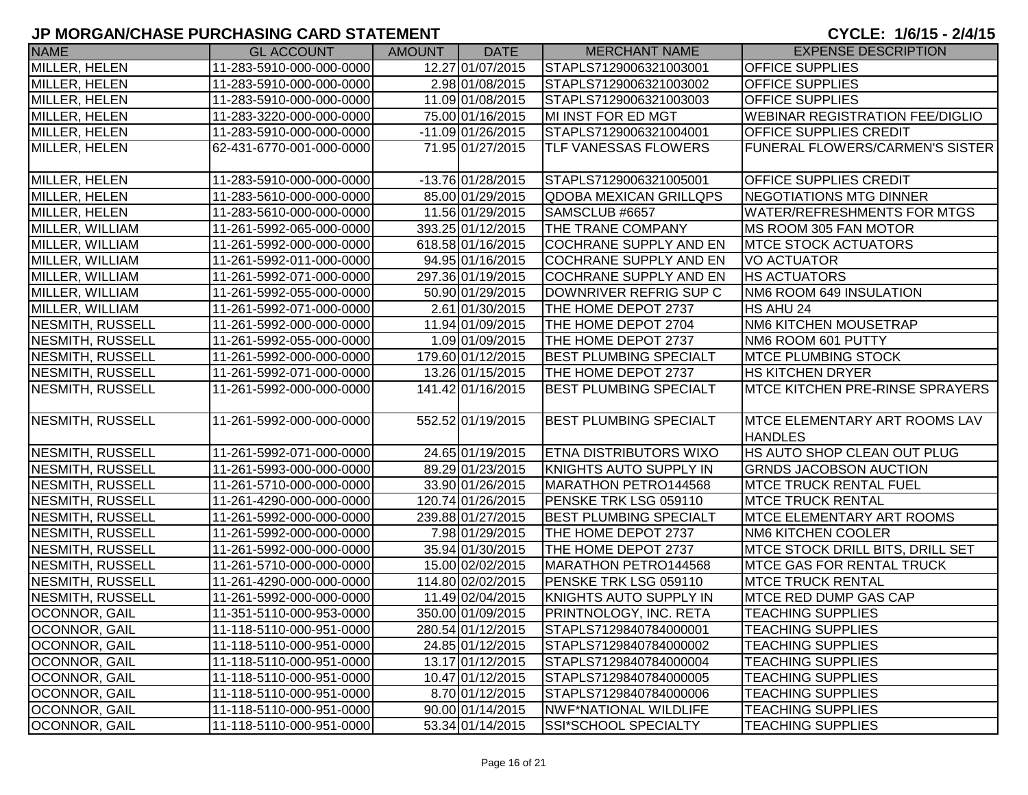| <b>NAME</b>             | <b>GL ACCOUNT</b>        | <b>AMOUNT</b> | <b>DATE</b>       | <b>MERCHANT NAME</b>          | <b>EXPENSE DESCRIPTION</b>              |
|-------------------------|--------------------------|---------------|-------------------|-------------------------------|-----------------------------------------|
| MILLER, HELEN           | 11-283-5910-000-000-0000 |               | 12.27 01/07/2015  | STAPLS7129006321003001        | <b>OFFICE SUPPLIES</b>                  |
| MILLER, HELEN           | 11-283-5910-000-000-0000 |               | 2.98 01/08/2015   | STAPLS7129006321003002        | <b>OFFICE SUPPLIES</b>                  |
| MILLER, HELEN           | 11-283-5910-000-000-0000 |               | 11.09 01/08/2015  | STAPLS7129006321003003        | <b>OFFICE SUPPLIES</b>                  |
| MILLER, HELEN           | 11-283-3220-000-000-0000 |               | 75.00 01/16/2015  | MI INST FOR ED MGT            | <b>WEBINAR REGISTRATION FEE/DIGLIO</b>  |
| MILLER, HELEN           | 11-283-5910-000-000-0000 |               | -11.09 01/26/2015 | STAPLS7129006321004001        | <b>OFFICE SUPPLIES CREDIT</b>           |
| MILLER, HELEN           | 62-431-6770-001-000-0000 |               | 71.95 01/27/2015  | <b>TLF VANESSAS FLOWERS</b>   | <b>FUNERAL FLOWERS/CARMEN'S SISTER</b>  |
|                         |                          |               |                   |                               |                                         |
| MILLER, HELEN           | 11-283-5910-000-000-0000 |               | -13.76 01/28/2015 | STAPLS7129006321005001        | <b>OFFICE SUPPLIES CREDIT</b>           |
| MILLER, HELEN           | 11-283-5610-000-000-0000 |               | 85.00 01/29/2015  | <b>QDOBA MEXICAN GRILLQPS</b> | NEGOTIATIONS MTG DINNER                 |
| MILLER, HELEN           | 11-283-5610-000-000-0000 |               | 11.56 01/29/2015  | SAMSCLUB #6657                | <b>WATER/REFRESHMENTS FOR MTGS</b>      |
| MILLER, WILLIAM         | 11-261-5992-065-000-0000 |               | 393.25 01/12/2015 | THE TRANE COMPANY             | MS ROOM 305 FAN MOTOR                   |
| MILLER, WILLIAM         | 11-261-5992-000-000-0000 |               | 618.58 01/16/2015 | <b>COCHRANE SUPPLY AND EN</b> | <b>MTCE STOCK ACTUATORS</b>             |
| MILLER, WILLIAM         | 11-261-5992-011-000-0000 |               | 94.95 01/16/2015  | <b>COCHRANE SUPPLY AND EN</b> | <b>VO ACTUATOR</b>                      |
| MILLER, WILLIAM         | 11-261-5992-071-000-0000 |               | 297.36 01/19/2015 | <b>COCHRANE SUPPLY AND EN</b> | <b>HS ACTUATORS</b>                     |
| MILLER, WILLIAM         | 11-261-5992-055-000-0000 |               | 50.90 01/29/2015  | DOWNRIVER REFRIG SUP C        | NM6 ROOM 649 INSULATION                 |
| MILLER, WILLIAM         | 11-261-5992-071-000-0000 |               | 2.61 01/30/2015   | THE HOME DEPOT 2737           | HS AHU 24                               |
| NESMITH, RUSSELL        | 11-261-5992-000-000-0000 |               | 11.94 01/09/2015  | THE HOME DEPOT 2704           | NM6 KITCHEN MOUSETRAP                   |
| NESMITH, RUSSELL        | 11-261-5992-055-000-0000 |               | 1.09 01/09/2015   | THE HOME DEPOT 2737           | NM6 ROOM 601 PUTTY                      |
| NESMITH, RUSSELL        | 11-261-5992-000-000-0000 |               | 179.60 01/12/2015 | <b>BEST PLUMBING SPECIALT</b> | <b>MTCE PLUMBING STOCK</b>              |
| NESMITH, RUSSELL        | 11-261-5992-071-000-0000 |               | 13.26 01/15/2015  | THE HOME DEPOT 2737           | <b>HS KITCHEN DRYER</b>                 |
| NESMITH, RUSSELL        | 11-261-5992-000-000-0000 |               | 141.42 01/16/2015 | <b>BEST PLUMBING SPECIALT</b> | <b>IMTCE KITCHEN PRE-RINSE SPRAYERS</b> |
|                         |                          |               |                   |                               |                                         |
| NESMITH, RUSSELL        | 11-261-5992-000-000-0000 |               | 552.52 01/19/2015 | <b>BEST PLUMBING SPECIALT</b> | <b>IMTCE ELEMENTARY ART ROOMS LAV</b>   |
|                         |                          |               |                   |                               | <b>HANDLES</b>                          |
| NESMITH, RUSSELL        | 11-261-5992-071-000-0000 |               | 24.65 01/19/2015  | <b>ETNA DISTRIBUTORS WIXO</b> | HS AUTO SHOP CLEAN OUT PLUG             |
| <b>NESMITH, RUSSELL</b> | 11-261-5993-000-000-0000 |               | 89.29 01/23/2015  | <b>KNIGHTS AUTO SUPPLY IN</b> | <b>GRNDS JACOBSON AUCTION</b>           |
| <b>NESMITH, RUSSELL</b> | 11-261-5710-000-000-0000 |               | 33.90 01/26/2015  | MARATHON PETRO144568          | <b>IMTCE TRUCK RENTAL FUEL</b>          |
| NESMITH, RUSSELL        | 11-261-4290-000-000-0000 |               | 120.74 01/26/2015 | PENSKE TRK LSG 059110         | <b>MTCE TRUCK RENTAL</b>                |
| NESMITH, RUSSELL        | 11-261-5992-000-000-0000 |               | 239.88 01/27/2015 | <b>BEST PLUMBING SPECIALT</b> | <b>MTCE ELEMENTARY ART ROOMS</b>        |
| NESMITH, RUSSELL        | 11-261-5992-000-000-0000 |               | 7.98 01/29/2015   | THE HOME DEPOT 2737           | <b>NM6 KITCHEN COOLER</b>               |
| NESMITH, RUSSELL        | 11-261-5992-000-000-0000 |               | 35.94 01/30/2015  | THE HOME DEPOT 2737           | <b>MTCE STOCK DRILL BITS, DRILL SET</b> |
| NESMITH, RUSSELL        | 11-261-5710-000-000-0000 |               | 15.00 02/02/2015  | MARATHON PETRO144568          | <b>IMTCE GAS FOR RENTAL TRUCK</b>       |
| NESMITH, RUSSELL        | 11-261-4290-000-000-0000 |               | 114.80 02/02/2015 | PENSKE TRK LSG 059110         | <b>IMTCE TRUCK RENTAL</b>               |
| NESMITH, RUSSELL        | 11-261-5992-000-000-0000 |               | 11.49 02/04/2015  | KNIGHTS AUTO SUPPLY IN        | <b>IMTCE RED DUMP GAS CAP</b>           |
| <b>OCONNOR, GAIL</b>    | 11-351-5110-000-953-0000 |               | 350.00 01/09/2015 | PRINTNOLOGY, INC. RETA        | <b>TEACHING SUPPLIES</b>                |
| OCONNOR, GAIL           | 11-118-5110-000-951-0000 |               | 280.54 01/12/2015 | STAPLS7129840784000001        | <b>TEACHING SUPPLIES</b>                |
| OCONNOR, GAIL           | 11-118-5110-000-951-0000 |               | 24.85 01/12/2015  | STAPLS7129840784000002        | <b>TEACHING SUPPLIES</b>                |
| OCONNOR, GAIL           | 11-118-5110-000-951-0000 |               | 13.17 01/12/2015  | STAPLS7129840784000004        | <b>TEACHING SUPPLIES</b>                |
| OCONNOR, GAIL           | 11-118-5110-000-951-0000 |               | 10.47 01/12/2015  | STAPLS7129840784000005        | <b>TEACHING SUPPLIES</b>                |
| OCONNOR, GAIL           | 11-118-5110-000-951-0000 |               | 8.70 01/12/2015   | STAPLS7129840784000006        | <b>TEACHING SUPPLIES</b>                |
| OCONNOR, GAIL           | 11-118-5110-000-951-0000 |               | 90.00 01/14/2015  | NWF*NATIONAL WILDLIFE         | <b>TEACHING SUPPLIES</b>                |
| OCONNOR, GAIL           | 11-118-5110-000-951-0000 |               | 53.34 01/14/2015  | SSI*SCHOOL SPECIALTY          | <b>TEACHING SUPPLIES</b>                |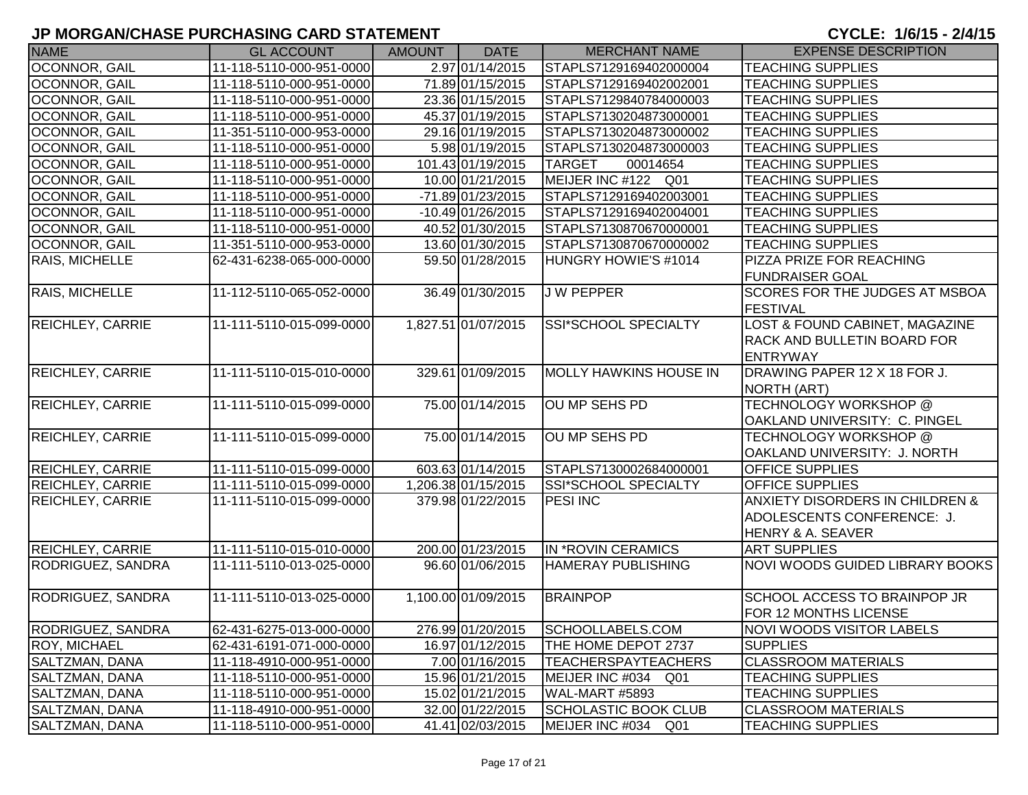| <b>NAME</b>              | <b>GL ACCOUNT</b>        | <b>AMOUNT</b> | <b>DATE</b>         | <b>MERCHANT NAME</b>          | <b>EXPENSE DESCRIPTION</b>                 |
|--------------------------|--------------------------|---------------|---------------------|-------------------------------|--------------------------------------------|
| OCONNOR, GAIL            | 11-118-5110-000-951-0000 |               | 2.97 01/14/2015     | STAPLS7129169402000004        | <b>TEACHING SUPPLIES</b>                   |
| <b>OCONNOR, GAIL</b>     | 11-118-5110-000-951-0000 |               | 71.89 01/15/2015    | STAPLS7129169402002001        | <b>TEACHING SUPPLIES</b>                   |
| <b>OCONNOR, GAIL</b>     | 11-118-5110-000-951-0000 |               | 23.36 01/15/2015    | STAPLS7129840784000003        | <b>TEACHING SUPPLIES</b>                   |
| OCONNOR, GAIL            | 11-118-5110-000-951-0000 |               | 45.37 01/19/2015    | STAPLS7130204873000001        | <b>TEACHING SUPPLIES</b>                   |
| <b>OCONNOR, GAIL</b>     | 11-351-5110-000-953-0000 |               | 29.16 01/19/2015    | STAPLS7130204873000002        | <b>TEACHING SUPPLIES</b>                   |
| <b>OCONNOR, GAIL</b>     | 11-118-5110-000-951-0000 |               | 5.98 01/19/2015     | STAPLS7130204873000003        | <b>TEACHING SUPPLIES</b>                   |
| OCONNOR, GAIL            | 11-118-5110-000-951-0000 |               | 101.43 01/19/2015   | <b>TARGET</b><br>00014654     | <b>TEACHING SUPPLIES</b>                   |
| <b>OCONNOR, GAIL</b>     | 11-118-5110-000-951-0000 |               | 10.00 01/21/2015    | MEIJER INC #122 Q01           | <b>TEACHING SUPPLIES</b>                   |
| <b>OCONNOR, GAIL</b>     | 11-118-5110-000-951-0000 |               | -71.89 01/23/2015   | STAPLS7129169402003001        | <b>TEACHING SUPPLIES</b>                   |
| <b>OCONNOR, GAIL</b>     | 11-118-5110-000-951-0000 |               | -10.49 01/26/2015   | STAPLS7129169402004001        | <b>TEACHING SUPPLIES</b>                   |
| <b>OCONNOR, GAIL</b>     | 11-118-5110-000-951-0000 |               | 40.52 01/30/2015    | STAPLS7130870670000001        | <b>TEACHING SUPPLIES</b>                   |
| <b>OCONNOR, GAIL</b>     | 11-351-5110-000-953-0000 |               | 13.60 01/30/2015    | STAPLS7130870670000002        | <b>TEACHING SUPPLIES</b>                   |
| RAIS, MICHELLE           | 62-431-6238-065-000-0000 |               | 59.50 01/28/2015    | HUNGRY HOWIE'S #1014          | PIZZA PRIZE FOR REACHING                   |
|                          |                          |               |                     |                               | <b>FUNDRAISER GOAL</b>                     |
| RAIS, MICHELLE           | 11-112-5110-065-052-0000 |               | 36.49 01/30/2015    | <b>JW PEPPER</b>              | SCORES FOR THE JUDGES AT MSBOA             |
|                          |                          |               |                     |                               | <b>FESTIVAL</b>                            |
| <b>REICHLEY, CARRIE</b>  | 11-111-5110-015-099-0000 |               | 1,827.51 01/07/2015 | SSI*SCHOOL SPECIALTY          | LOST & FOUND CABINET, MAGAZINE             |
|                          |                          |               |                     |                               | RACK AND BULLETIN BOARD FOR                |
|                          |                          |               |                     |                               | <b>ENTRYWAY</b>                            |
| <b>REICHLEY, CARRIE</b>  | 11-111-5110-015-010-0000 |               | 329.61 01/09/2015   | <b>MOLLY HAWKINS HOUSE IN</b> | DRAWING PAPER 12 X 18 FOR J.               |
|                          |                          |               |                     |                               | <b>NORTH (ART)</b>                         |
| <b>REICHLEY, CARRIE</b>  | 11-111-5110-015-099-0000 |               | 75.00 01/14/2015    | OU MP SEHS PD                 | <b>TECHNOLOGY WORKSHOP @</b>               |
|                          |                          |               |                     |                               | OAKLAND UNIVERSITY: C. PINGEL              |
| <b>REICHLEY, CARRIE</b>  | 11-111-5110-015-099-0000 |               | 75.00 01/14/2015    | OU MP SEHS PD                 | TECHNOLOGY WORKSHOP @                      |
|                          |                          |               |                     |                               | OAKLAND UNIVERSITY: J. NORTH               |
| <b>REICHLEY, CARRIE</b>  | 11-111-5110-015-099-0000 |               | 603.63 01/14/2015   | STAPLS7130002684000001        | <b>OFFICE SUPPLIES</b>                     |
| <b>REICHLEY, CARRIE</b>  | 11-111-5110-015-099-0000 |               | 1,206.38 01/15/2015 | <b>SSI*SCHOOL SPECIALTY</b>   | <b>OFFICE SUPPLIES</b>                     |
| <b>REICHLEY, CARRIE</b>  | 11-111-5110-015-099-0000 |               | 379.98 01/22/2015   | <b>PESI INC</b>               | <b>ANXIETY DISORDERS IN CHILDREN &amp;</b> |
|                          |                          |               |                     |                               | ADOLESCENTS CONFERENCE: J.                 |
|                          |                          |               |                     |                               | <b>HENRY &amp; A. SEAVER</b>               |
| <b>REICHLEY, CARRIE</b>  | 11-111-5110-015-010-0000 |               | 200.00 01/23/2015   | IN *ROVIN CERAMICS            | <b>ART SUPPLIES</b>                        |
| RODRIGUEZ, SANDRA        | 11-111-5110-013-025-0000 |               | 96.60 01/06/2015    | <b>HAMERAY PUBLISHING</b>     | NOVI WOODS GUIDED LIBRARY BOOKS            |
|                          |                          |               |                     |                               |                                            |
| <b>RODRIGUEZ, SANDRA</b> | 11-111-5110-013-025-0000 |               | 1,100.00 01/09/2015 | <b>BRAINPOP</b>               | SCHOOL ACCESS TO BRAINPOP JR               |
|                          |                          |               |                     |                               | FOR 12 MONTHS LICENSE                      |
| RODRIGUEZ, SANDRA        | 62-431-6275-013-000-0000 |               | 276.99 01/20/2015   | SCHOOLLABELS.COM              | <b>NOVI WOODS VISITOR LABELS</b>           |
| <b>ROY, MICHAEL</b>      | 62-431-6191-071-000-0000 |               | 16.97 01/12/2015    | THE HOME DEPOT 2737           | <b>SUPPLIES</b>                            |
| <b>SALTZMAN, DANA</b>    | 11-118-4910-000-951-0000 |               | 7.00 01/16/2015     | <b>TEACHERSPAYTEACHERS</b>    | <b>CLASSROOM MATERIALS</b>                 |
| SALTZMAN, DANA           | 11-118-5110-000-951-0000 |               | 15.96 01/21/2015    | MEIJER INC #034<br>Q01        | <b>TEACHING SUPPLIES</b>                   |
| SALTZMAN, DANA           | 11-118-5110-000-951-0000 |               | 15.02 01/21/2015    | WAL-MART #5893                | <b>TEACHING SUPPLIES</b>                   |
| SALTZMAN, DANA           | 11-118-4910-000-951-0000 |               | 32.00 01/22/2015    | <b>SCHOLASTIC BOOK CLUB</b>   | <b>CLASSROOM MATERIALS</b>                 |
| SALTZMAN, DANA           | 11-118-5110-000-951-0000 |               | 41.41 02/03/2015    | MEIJER INC #034 Q01           | <b>TEACHING SUPPLIES</b>                   |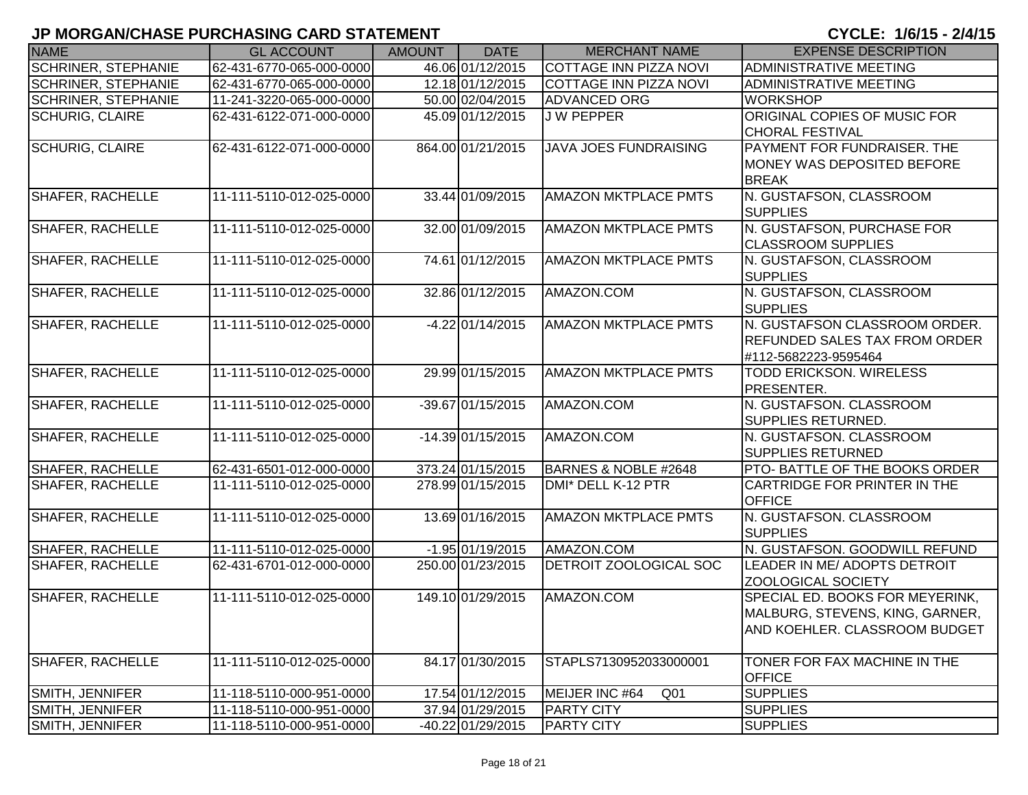| <b>NAME</b>                | <b>GL ACCOUNT</b>        | <b>AMOUNT</b> | <b>DATE</b>        | <b>MERCHANT NAME</b>              | <b>EXPENSE DESCRIPTION</b>            |
|----------------------------|--------------------------|---------------|--------------------|-----------------------------------|---------------------------------------|
| <b>SCHRINER, STEPHANIE</b> | 62-431-6770-065-000-0000 |               | 46.06 01/12/2015   | <b>COTTAGE INN PIZZA NOVI</b>     | <b>ADMINISTRATIVE MEETING</b>         |
| <b>SCHRINER, STEPHANIE</b> | 62-431-6770-065-000-0000 |               | 12.18 01/12/2015   | COTTAGE INN PIZZA NOVI            | <b>ADMINISTRATIVE MEETING</b>         |
| <b>SCHRINER, STEPHANIE</b> | 11-241-3220-065-000-0000 |               | 50.00 02/04/2015   | <b>ADVANCED ORG</b>               | <b>WORKSHOP</b>                       |
| <b>SCHURIG, CLAIRE</b>     | 62-431-6122-071-000-0000 |               | 45.09 01/12/2015   | <b>JW PEPPER</b>                  | ORIGINAL COPIES OF MUSIC FOR          |
|                            |                          |               |                    |                                   | <b>CHORAL FESTIVAL</b>                |
| <b>SCHURIG, CLAIRE</b>     | 62-431-6122-071-000-0000 |               | 864.00 01/21/2015  | <b>JAVA JOES FUNDRAISING</b>      | PAYMENT FOR FUNDRAISER. THE           |
|                            |                          |               |                    |                                   | MONEY WAS DEPOSITED BEFORE            |
|                            |                          |               |                    |                                   | <b>BREAK</b>                          |
| <b>SHAFER, RACHELLE</b>    | 11-111-5110-012-025-0000 |               | 33.44 01/09/2015   | <b>AMAZON MKTPLACE PMTS</b>       | N. GUSTAFSON, CLASSROOM               |
|                            |                          |               |                    |                                   | <b>SUPPLIES</b>                       |
| <b>SHAFER, RACHELLE</b>    | 11-111-5110-012-025-0000 |               | 32.00 01/09/2015   | <b>AMAZON MKTPLACE PMTS</b>       | N. GUSTAFSON, PURCHASE FOR            |
|                            |                          |               |                    |                                   | <b>CLASSROOM SUPPLIES</b>             |
| <b>SHAFER, RACHELLE</b>    | 11-111-5110-012-025-0000 |               | 74.61 01/12/2015   | <b>AMAZON MKTPLACE PMTS</b>       | N. GUSTAFSON, CLASSROOM               |
|                            |                          |               |                    |                                   | <b>SUPPLIES</b>                       |
| SHAFER, RACHELLE           | 11-111-5110-012-025-0000 |               | 32.86 01/12/2015   | AMAZON.COM                        | N. GUSTAFSON, CLASSROOM               |
|                            |                          |               |                    |                                   | <b>SUPPLIES</b>                       |
| <b>SHAFER, RACHELLE</b>    | 11-111-5110-012-025-0000 |               | $-4.22$ 01/14/2015 | <b>AMAZON MKTPLACE PMTS</b>       | N. GUSTAFSON CLASSROOM ORDER.         |
|                            |                          |               |                    |                                   | <b>REFUNDED SALES TAX FROM ORDER</b>  |
|                            |                          |               |                    |                                   | #112-5682223-9595464                  |
| <b>SHAFER, RACHELLE</b>    | 11-111-5110-012-025-0000 |               | 29.99 01/15/2015   | <b>AMAZON MKTPLACE PMTS</b>       | <b>TODD ERICKSON. WIRELESS</b>        |
|                            |                          |               |                    |                                   | PRESENTER.                            |
| <b>SHAFER, RACHELLE</b>    | 11-111-5110-012-025-0000 |               | -39.67 01/15/2015  | AMAZON.COM                        | N. GUSTAFSON. CLASSROOM               |
|                            |                          |               |                    |                                   | <b>SUPPLIES RETURNED.</b>             |
| <b>SHAFER, RACHELLE</b>    | 11-111-5110-012-025-0000 |               | -14.39 01/15/2015  | AMAZON.COM                        | N. GUSTAFSON. CLASSROOM               |
|                            |                          |               |                    |                                   | <b>SUPPLIES RETURNED</b>              |
| <b>SHAFER, RACHELLE</b>    | 62-431-6501-012-000-0000 |               | 373.24 01/15/2015  | BARNES & NOBLE #2648              | <b>PTO- BATTLE OF THE BOOKS ORDER</b> |
| <b>SHAFER, RACHELLE</b>    | 11-111-5110-012-025-0000 |               | 278.99 01/15/2015  | DMI* DELL K-12 PTR                | CARTRIDGE FOR PRINTER IN THE          |
|                            |                          |               |                    |                                   | <b>OFFICE</b>                         |
| <b>SHAFER, RACHELLE</b>    | 11-111-5110-012-025-0000 |               | 13.69 01/16/2015   | <b>AMAZON MKTPLACE PMTS</b>       | N. GUSTAFSON. CLASSROOM               |
|                            |                          |               |                    |                                   | <b>SUPPLIES</b>                       |
| SHAFER, RACHELLE           | 11-111-5110-012-025-0000 |               | $-1.95$ 01/19/2015 | AMAZON.COM                        | N. GUSTAFSON. GOODWILL REFUND         |
| SHAFER, RACHELLE           | 62-431-6701-012-000-0000 |               | 250.00 01/23/2015  | <b>DETROIT ZOOLOGICAL SOC</b>     | LEADER IN ME/ ADOPTS DETROIT          |
|                            |                          |               |                    |                                   | ZOOLOGICAL SOCIETY                    |
| <b>SHAFER, RACHELLE</b>    | 11-111-5110-012-025-0000 |               | 149.10 01/29/2015  | AMAZON.COM                        | SPECIAL ED. BOOKS FOR MEYERINK,       |
|                            |                          |               |                    |                                   | MALBURG, STEVENS, KING, GARNER,       |
|                            |                          |               |                    |                                   | AND KOEHLER. CLASSROOM BUDGET         |
| <b>SHAFER, RACHELLE</b>    | 11-111-5110-012-025-0000 |               | 84.17 01/30/2015   | STAPLS7130952033000001            | TONER FOR FAX MACHINE IN THE          |
|                            |                          |               |                    |                                   | <b>OFFICE</b>                         |
| SMITH, JENNIFER            | 11-118-5110-000-951-0000 |               | 17.54 01/12/2015   | MEIJER INC #64<br>Q <sub>01</sub> | <b>SUPPLIES</b>                       |
| SMITH, JENNIFER            | 11-118-5110-000-951-0000 |               | 37.94 01/29/2015   | <b>PARTY CITY</b>                 | <b>SUPPLIES</b>                       |
| SMITH, JENNIFER            | 11-118-5110-000-951-0000 |               | -40.22 01/29/2015  | <b>PARTY CITY</b>                 | <b>SUPPLIES</b>                       |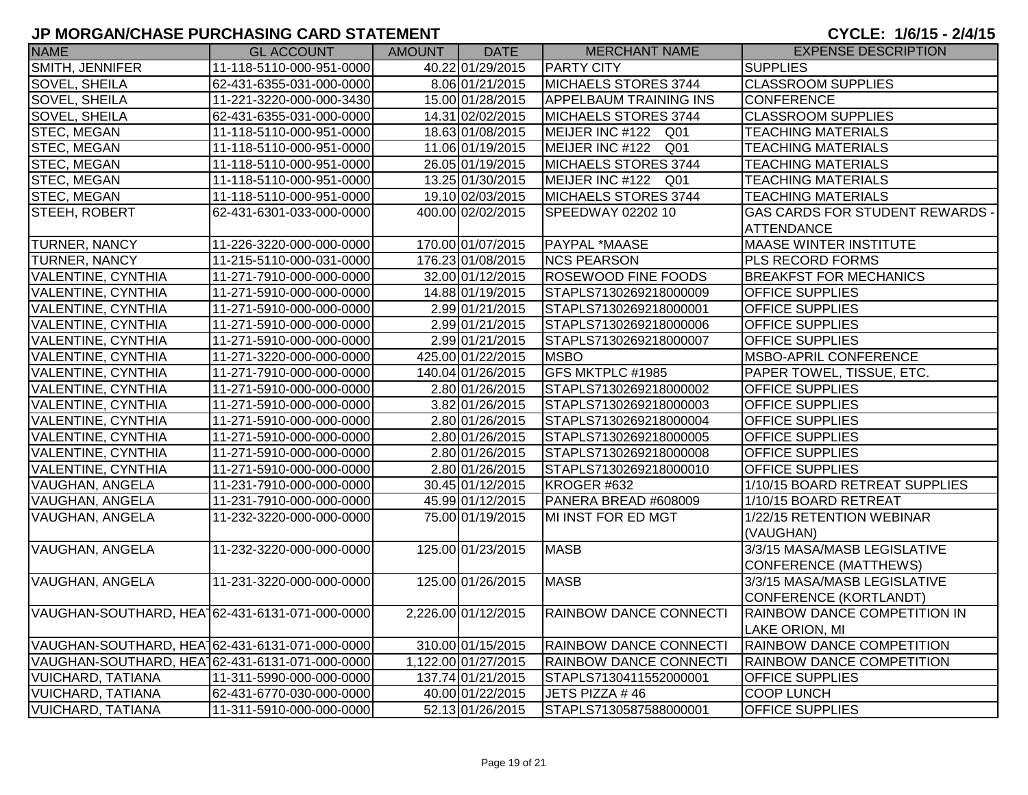| <b>NAME</b>                                    | <b>GL ACCOUNT</b>        | AMOUNT | <b>DATE</b>         | <b>MERCHANT NAME</b>          | <b>EXPENSE DESCRIPTION</b>             |
|------------------------------------------------|--------------------------|--------|---------------------|-------------------------------|----------------------------------------|
| SMITH, JENNIFER                                | 11-118-5110-000-951-0000 |        | 40.22 01/29/2015    | <b>PARTY CITY</b>             | <b>SUPPLIES</b>                        |
| <b>SOVEL, SHEILA</b>                           | 62-431-6355-031-000-0000 |        | 8.06 01/21/2015     | MICHAELS STORES 3744          | <b>CLASSROOM SUPPLIES</b>              |
| SOVEL, SHEILA                                  | 11-221-3220-000-000-3430 |        | 15.00 01/28/2015    | <b>APPELBAUM TRAINING INS</b> | <b>CONFERENCE</b>                      |
| SOVEL, SHEILA                                  | 62-431-6355-031-000-0000 |        | 14.31 02/02/2015    | MICHAELS STORES 3744          | <b>CLASSROOM SUPPLIES</b>              |
| STEC, MEGAN                                    | 11-118-5110-000-951-0000 |        | 18.63 01/08/2015    | MEIJER INC #122 Q01           | <b>TEACHING MATERIALS</b>              |
| <b>STEC, MEGAN</b>                             | 11-118-5110-000-951-0000 |        | 11.06 01/19/2015    | MEIJER INC #122 Q01           | <b>TEACHING MATERIALS</b>              |
| STEC, MEGAN                                    | 11-118-5110-000-951-0000 |        | 26.05 01/19/2015    | MICHAELS STORES 3744          | <b>TEACHING MATERIALS</b>              |
| STEC, MEGAN                                    | 11-118-5110-000-951-0000 |        | 13.25 01/30/2015    | MEIJER INC #122 Q01           | <b>TEACHING MATERIALS</b>              |
| STEC, MEGAN                                    | 11-118-5110-000-951-0000 |        | 19.10 02/03/2015    | MICHAELS STORES 3744          | <b>TEACHING MATERIALS</b>              |
| STEEH, ROBERT                                  | 62-431-6301-033-000-0000 |        | 400.00 02/02/2015   | SPEEDWAY 02202 10             | <b>GAS CARDS FOR STUDENT REWARDS -</b> |
|                                                |                          |        |                     |                               | <b>ATTENDANCE</b>                      |
| TURNER, NANCY                                  | 11-226-3220-000-000-0000 |        | 170.00 01/07/2015   | PAYPAL *MAASE                 | <b>MAASE WINTER INSTITUTE</b>          |
| TURNER, NANCY                                  | 11-215-5110-000-031-0000 |        | 176.23 01/08/2015   | <b>NCS PEARSON</b>            | PLS RECORD FORMS                       |
| <b>VALENTINE, CYNTHIA</b>                      | 11-271-7910-000-000-0000 |        | 32.00 01/12/2015    | <b>ROSEWOOD FINE FOODS</b>    | <b>BREAKFST FOR MECHANICS</b>          |
| <b>VALENTINE, CYNTHIA</b>                      | 11-271-5910-000-000-0000 |        | 14.88 01/19/2015    | STAPLS7130269218000009        | <b>OFFICE SUPPLIES</b>                 |
| VALENTINE, CYNTHIA                             | 11-271-5910-000-000-0000 |        | 2.99 01/21/2015     | STAPLS7130269218000001        | <b>OFFICE SUPPLIES</b>                 |
| <b>VALENTINE, CYNTHIA</b>                      | 11-271-5910-000-000-0000 |        | 2.99 01/21/2015     | STAPLS7130269218000006        | OFFICE SUPPLIES                        |
| <b>VALENTINE, CYNTHIA</b>                      | 11-271-5910-000-000-0000 |        | 2.99 01/21/2015     | STAPLS7130269218000007        | OFFICE SUPPLIES                        |
| <b>VALENTINE, CYNTHIA</b>                      | 11-271-3220-000-000-0000 |        | 425.00 01/22/2015   | <b>MSBO</b>                   | MSBO-APRIL CONFERENCE                  |
| <b>VALENTINE, CYNTHIA</b>                      | 11-271-7910-000-000-0000 |        | 140.04 01/26/2015   | GFS MKTPLC #1985              | PAPER TOWEL, TISSUE, ETC.              |
| <b>VALENTINE, CYNTHIA</b>                      | 11-271-5910-000-000-0000 |        | 2.80 01/26/2015     | STAPLS7130269218000002        | <b>OFFICE SUPPLIES</b>                 |
| <b>VALENTINE, CYNTHIA</b>                      | 11-271-5910-000-000-0000 |        | 3.82 01/26/2015     | STAPLS7130269218000003        | OFFICE SUPPLIES                        |
| <b>VALENTINE, CYNTHIA</b>                      | 11-271-5910-000-000-0000 |        | 2.80 01/26/2015     | STAPLS7130269218000004        | <b>OFFICE SUPPLIES</b>                 |
| <b>VALENTINE, CYNTHIA</b>                      | 11-271-5910-000-000-0000 |        | 2.80 01/26/2015     | STAPLS7130269218000005        | <b>OFFICE SUPPLIES</b>                 |
| <b>VALENTINE, CYNTHIA</b>                      | 11-271-5910-000-000-0000 |        | 2.80 01/26/2015     | STAPLS7130269218000008        | <b>OFFICE SUPPLIES</b>                 |
| <b>VALENTINE, CYNTHIA</b>                      | 11-271-5910-000-000-0000 |        | 2.80 01/26/2015     | STAPLS7130269218000010        | <b>OFFICE SUPPLIES</b>                 |
| VAUGHAN, ANGELA                                | 11-231-7910-000-000-0000 |        | 30.45 01/12/2015    | KROGER #632                   | 1/10/15 BOARD RETREAT SUPPLIES         |
| VAUGHAN, ANGELA                                | 11-231-7910-000-000-0000 |        | 45.99 01/12/2015    | PANERA BREAD #608009          | 1/10/15 BOARD RETREAT                  |
| VAUGHAN, ANGELA                                | 11-232-3220-000-000-0000 |        | 75.00 01/19/2015    | MI INST FOR ED MGT            | 1/22/15 RETENTION WEBINAR              |
|                                                |                          |        |                     |                               | (VAUGHAN)                              |
| <b>VAUGHAN, ANGELA</b>                         | 11-232-3220-000-000-0000 |        | 125.00 01/23/2015   | <b>MASB</b>                   | 3/3/15 MASA/MASB LEGISLATIVE           |
|                                                |                          |        |                     |                               | <b>CONFERENCE (MATTHEWS)</b>           |
| <b>VAUGHAN, ANGELA</b>                         | 11-231-3220-000-000-0000 |        | 125.00 01/26/2015   | <b>MASB</b>                   | 3/3/15 MASA/MASB LEGISLATIVE           |
|                                                |                          |        |                     |                               | CONFERENCE (KORTLANDT)                 |
| VAUGHAN-SOUTHARD, HEA162-431-6131-071-000-0000 |                          |        | 2,226.00 01/12/2015 | RAINBOW DANCE CONNECTI        | RAINBOW DANCE COMPETITION IN           |
|                                                |                          |        |                     |                               | LAKE ORION, MI                         |
| VAUGHAN-SOUTHARD, HEA162-431-6131-071-000-0000 |                          |        | 310.00 01/15/2015   | RAINBOW DANCE CONNECTI        | RAINBOW DANCE COMPETITION              |
| VAUGHAN-SOUTHARD, HEA162-431-6131-071-000-0000 |                          |        | 1,122.00 01/27/2015 | RAINBOW DANCE CONNECTI        | RAINBOW DANCE COMPETITION              |
| <b>VUICHARD, TATIANA</b>                       | 11-311-5990-000-000-0000 |        | 137.74 01/21/2015   | STAPLS7130411552000001        | <b>OFFICE SUPPLIES</b>                 |
| <b>VUICHARD, TATIANA</b>                       | 62-431-6770-030-000-0000 |        | 40.00 01/22/2015    | JETS PIZZA #46                | <b>COOP LUNCH</b>                      |
| <b>VUICHARD, TATIANA</b>                       | 11-311-5910-000-000-0000 |        | 52.13 01/26/2015    | STAPLS7130587588000001        | <b>OFFICE SUPPLIES</b>                 |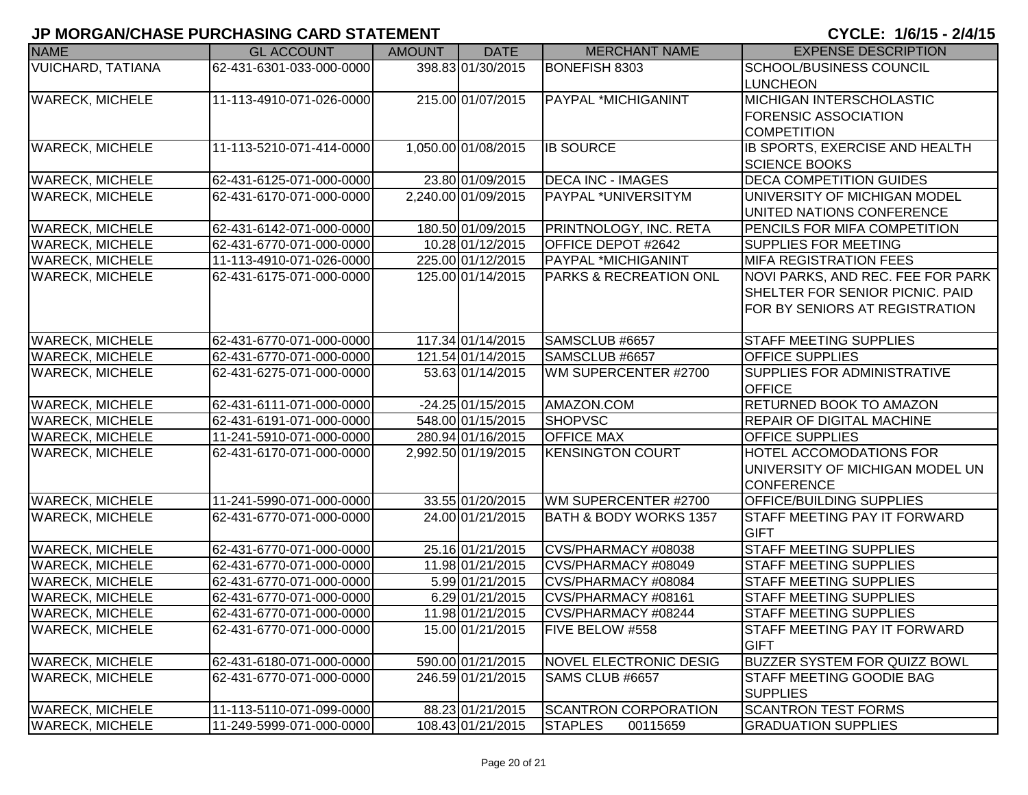| <b>NAME</b>              | <b>GL ACCOUNT</b>        | <b>AMOUNT</b> | <b>DATE</b>         | <b>MERCHANT NAME</b>              | <b>EXPENSE DESCRIPTION</b>                                                                             |
|--------------------------|--------------------------|---------------|---------------------|-----------------------------------|--------------------------------------------------------------------------------------------------------|
| <b>VUICHARD, TATIANA</b> | 62-431-6301-033-000-0000 |               | 398.83 01/30/2015   | BONEFISH 8303                     | SCHOOL/BUSINESS COUNCIL<br><b>LUNCHEON</b>                                                             |
| <b>WARECK, MICHELE</b>   | 11-113-4910-071-026-0000 |               | 215.00 01/07/2015   | PAYPAL *MICHIGANINT               | MICHIGAN INTERSCHOLASTIC<br><b>FORENSIC ASSOCIATION</b><br><b>COMPETITION</b>                          |
| <b>WARECK, MICHELE</b>   | 11-113-5210-071-414-0000 |               | 1,050.00 01/08/2015 | <b>IB SOURCE</b>                  | IB SPORTS, EXERCISE AND HEALTH<br><b>SCIENCE BOOKS</b>                                                 |
| <b>WARECK, MICHELE</b>   | 62-431-6125-071-000-0000 |               | 23.80 01/09/2015    | <b>DECA INC - IMAGES</b>          | <b>DECA COMPETITION GUIDES</b>                                                                         |
| <b>WARECK, MICHELE</b>   | 62-431-6170-071-000-0000 |               | 2,240.00 01/09/2015 | PAYPAL *UNIVERSITYM               | UNIVERSITY OF MICHIGAN MODEL<br>UNITED NATIONS CONFERENCE                                              |
| <b>WARECK, MICHELE</b>   | 62-431-6142-071-000-0000 |               | 180.50 01/09/2015   | PRINTNOLOGY, INC. RETA            | PENCILS FOR MIFA COMPETITION                                                                           |
| <b>WARECK, MICHELE</b>   | 62-431-6770-071-000-0000 |               | 10.28 01/12/2015    | OFFICE DEPOT #2642                | <b>SUPPLIES FOR MEETING</b>                                                                            |
| <b>WARECK, MICHELE</b>   | 11-113-4910-071-026-0000 |               | 225.00 01/12/2015   | <b>PAYPAL *MICHIGANINT</b>        | <b>MIFA REGISTRATION FEES</b>                                                                          |
| <b>WARECK, MICHELE</b>   | 62-431-6175-071-000-0000 |               | 125.00 01/14/2015   | <b>PARKS &amp; RECREATION ONL</b> | NOVI PARKS, AND REC. FEE FOR PARK<br>SHELTER FOR SENIOR PICNIC. PAID<br>FOR BY SENIORS AT REGISTRATION |
| <b>WARECK, MICHELE</b>   | 62-431-6770-071-000-0000 |               | 117.34 01/14/2015   | SAMSCLUB #6657                    | <b>STAFF MEETING SUPPLIES</b>                                                                          |
| <b>WARECK, MICHELE</b>   | 62-431-6770-071-000-0000 |               | 121.54 01/14/2015   | SAMSCLUB #6657                    | <b>OFFICE SUPPLIES</b>                                                                                 |
| <b>WARECK, MICHELE</b>   | 62-431-6275-071-000-0000 |               | 53.63 01/14/2015    | WM SUPERCENTER #2700              | SUPPLIES FOR ADMINISTRATIVE<br><b>OFFICE</b>                                                           |
| <b>WARECK, MICHELE</b>   | 62-431-6111-071-000-0000 |               | $-24.25$ 01/15/2015 | AMAZON.COM                        | <b>RETURNED BOOK TO AMAZON</b>                                                                         |
| <b>WARECK, MICHELE</b>   | 62-431-6191-071-000-0000 |               | 548.00 01/15/2015   | <b>SHOPVSC</b>                    | <b>REPAIR OF DIGITAL MACHINE</b>                                                                       |
| <b>WARECK, MICHELE</b>   | 11-241-5910-071-000-0000 |               | 280.94 01/16/2015   | <b>OFFICE MAX</b>                 | <b>OFFICE SUPPLIES</b>                                                                                 |
| <b>WARECK, MICHELE</b>   | 62-431-6170-071-000-0000 |               | 2,992.50 01/19/2015 | <b>KENSINGTON COURT</b>           | <b>HOTEL ACCOMODATIONS FOR</b><br>UNIVERSITY OF MICHIGAN MODEL UN<br><b>CONFERENCE</b>                 |
| <b>WARECK, MICHELE</b>   | 11-241-5990-071-000-0000 |               | 33.55 01/20/2015    | WM SUPERCENTER #2700              | OFFICE/BUILDING SUPPLIES                                                                               |
| <b>WARECK, MICHELE</b>   | 62-431-6770-071-000-0000 |               | 24.00 01/21/2015    | <b>BATH &amp; BODY WORKS 1357</b> | <b>STAFF MEETING PAY IT FORWARD</b><br><b>GIFT</b>                                                     |
| <b>WARECK, MICHELE</b>   | 62-431-6770-071-000-0000 |               | 25.16 01/21/2015    | CVS/PHARMACY #08038               | <b>STAFF MEETING SUPPLIES</b>                                                                          |
| <b>WARECK, MICHELE</b>   | 62-431-6770-071-000-0000 |               | 11.98 01/21/2015    | CVS/PHARMACY #08049               | <b>STAFF MEETING SUPPLIES</b>                                                                          |
| <b>WARECK, MICHELE</b>   | 62-431-6770-071-000-0000 |               | 5.99 01/21/2015     | CVS/PHARMACY #08084               | <b>STAFF MEETING SUPPLIES</b>                                                                          |
| <b>WARECK, MICHELE</b>   | 62-431-6770-071-000-0000 |               | 6.29 01/21/2015     | CVS/PHARMACY #08161               | <b>STAFF MEETING SUPPLIES</b>                                                                          |
| <b>WARECK, MICHELE</b>   | 62-431-6770-071-000-0000 |               | 11.98 01/21/2015    | CVS/PHARMACY #08244               | <b>STAFF MEETING SUPPLIES</b>                                                                          |
| <b>WARECK, MICHELE</b>   | 62-431-6770-071-000-0000 |               | 15.00 01/21/2015    | <b>FIVE BELOW #558</b>            | <b>STAFF MEETING PAY IT FORWARD</b><br><b>GIFT</b>                                                     |
| <b>WARECK, MICHELE</b>   | 62-431-6180-071-000-0000 |               | 590.00 01/21/2015   | <b>NOVEL ELECTRONIC DESIG</b>     | <b>BUZZER SYSTEM FOR QUIZZ BOWL</b>                                                                    |
| <b>WARECK, MICHELE</b>   | 62-431-6770-071-000-0000 |               | 246.59 01/21/2015   | SAMS CLUB #6657                   | STAFF MEETING GOODIE BAG<br><b>SUPPLIES</b>                                                            |
| <b>WARECK, MICHELE</b>   | 11-113-5110-071-099-0000 |               | 88.23 01/21/2015    | <b>SCANTRON CORPORATION</b>       | <b>SCANTRON TEST FORMS</b>                                                                             |
| <b>WARECK, MICHELE</b>   | 11-249-5999-071-000-0000 |               | 108.43 01/21/2015   | <b>STAPLES</b><br>00115659        | <b>GRADUATION SUPPLIES</b>                                                                             |